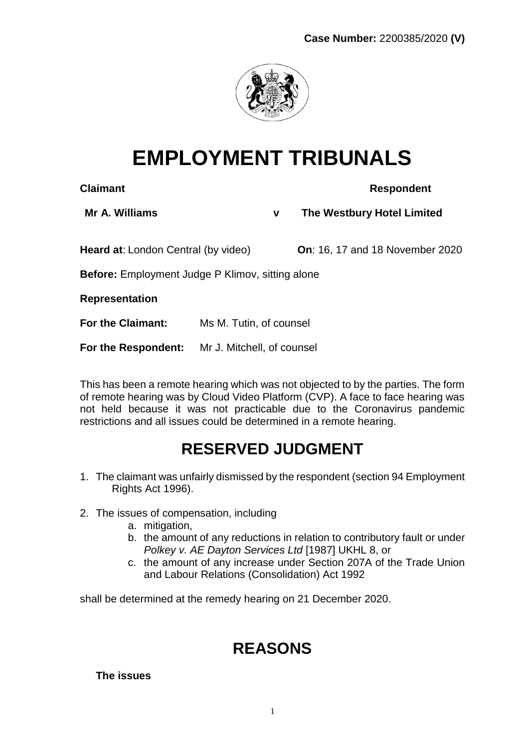

# **EMPLOYMENT TRIBUNALS**

**Claimant Respondent** 

**Mr A. Williams v The Westbury Hotel Limited**

**Heard at**: London Central (by video) **On**: 16, 17 and 18 November 2020

**Before:** Employment Judge P Klimov, sitting alone

**Representation**

**For the Claimant:** Ms M. Tutin, of counsel

**For the Respondent:** Mr J. Mitchell, of counsel

This has been a remote hearing which was not objected to by the parties. The form of remote hearing was by Cloud Video Platform (CVP). A face to face hearing was not held because it was not practicable due to the Coronavirus pandemic restrictions and all issues could be determined in a remote hearing.

## **RESERVED JUDGMENT**

- 1. The claimant was unfairly dismissed by the respondent (section 94 Employment Rights Act 1996).
- 2. The issues of compensation, including
	- a. mitigation,
	- b. the amount of any reductions in relation to contributory fault or under *Polkey v. AE Dayton Services Ltd* [1987] UKHL 8, or
	- c. the amount of any increase under Section 207A of the Trade Union and Labour Relations (Consolidation) Act 1992

shall be determined at the remedy hearing on 21 December 2020.

## **REASONS**

**The issues**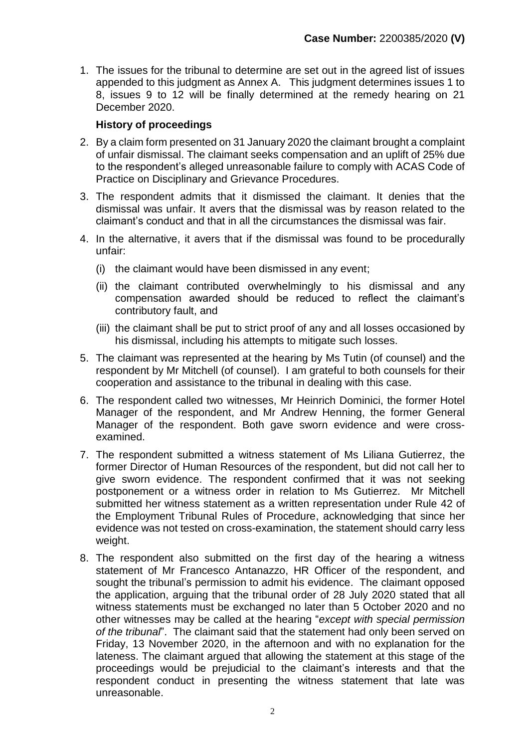1. The issues for the tribunal to determine are set out in the agreed list of issues appended to this judgment as Annex A. This judgment determines issues 1 to 8, issues 9 to 12 will be finally determined at the remedy hearing on 21 December 2020.

#### **History of proceedings**

- 2. By a claim form presented on 31 January 2020 the claimant brought a complaint of unfair dismissal. The claimant seeks compensation and an uplift of 25% due to the respondent's alleged unreasonable failure to comply with ACAS Code of Practice on Disciplinary and Grievance Procedures.
- 3. The respondent admits that it dismissed the claimant. It denies that the dismissal was unfair. It avers that the dismissal was by reason related to the claimant's conduct and that in all the circumstances the dismissal was fair.
- 4. In the alternative, it avers that if the dismissal was found to be procedurally unfair:
	- (i) the claimant would have been dismissed in any event;
	- (ii) the claimant contributed overwhelmingly to his dismissal and any compensation awarded should be reduced to reflect the claimant's contributory fault, and
	- (iii) the claimant shall be put to strict proof of any and all losses occasioned by his dismissal, including his attempts to mitigate such losses.
- 5. The claimant was represented at the hearing by Ms Tutin (of counsel) and the respondent by Mr Mitchell (of counsel). I am grateful to both counsels for their cooperation and assistance to the tribunal in dealing with this case.
- 6. The respondent called two witnesses, Mr Heinrich Dominici, the former Hotel Manager of the respondent, and Mr Andrew Henning, the former General Manager of the respondent. Both gave sworn evidence and were crossexamined.
- 7. The respondent submitted a witness statement of Ms Liliana Gutierrez, the former Director of Human Resources of the respondent, but did not call her to give sworn evidence. The respondent confirmed that it was not seeking postponement or a witness order in relation to Ms Gutierrez. Mr Mitchell submitted her witness statement as a written representation under Rule 42 of the Employment Tribunal Rules of Procedure, acknowledging that since her evidence was not tested on cross-examination, the statement should carry less weight.
- 8. The respondent also submitted on the first day of the hearing a witness statement of Mr Francesco Antanazzo, HR Officer of the respondent, and sought the tribunal's permission to admit his evidence. The claimant opposed the application, arguing that the tribunal order of 28 July 2020 stated that all witness statements must be exchanged no later than 5 October 2020 and no other witnesses may be called at the hearing "*except with special permission of the tribunal*". The claimant said that the statement had only been served on Friday, 13 November 2020, in the afternoon and with no explanation for the lateness. The claimant argued that allowing the statement at this stage of the proceedings would be prejudicial to the claimant's interests and that the respondent conduct in presenting the witness statement that late was unreasonable.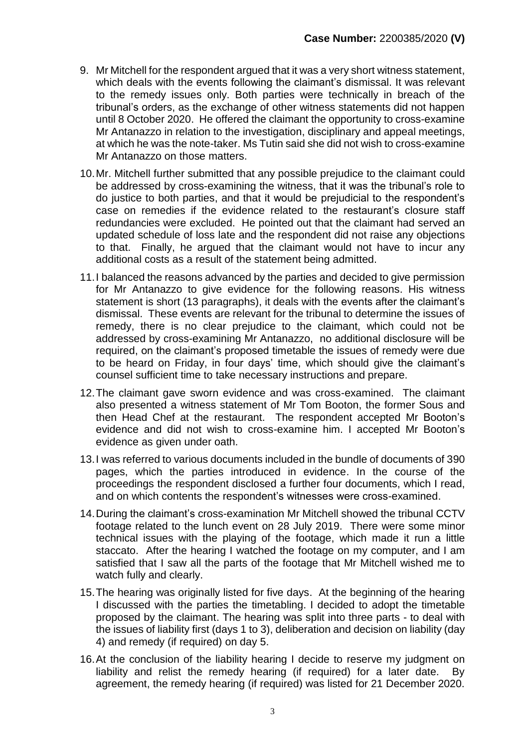- 9. Mr Mitchell for the respondent argued that it was a very short witness statement, which deals with the events following the claimant's dismissal. It was relevant to the remedy issues only. Both parties were technically in breach of the tribunal's orders, as the exchange of other witness statements did not happen until 8 October 2020. He offered the claimant the opportunity to cross-examine Mr Antanazzo in relation to the investigation, disciplinary and appeal meetings, at which he was the note-taker. Ms Tutin said she did not wish to cross-examine Mr Antanazzo on those matters.
- 10.Mr. Mitchell further submitted that any possible prejudice to the claimant could be addressed by cross-examining the witness, that it was the tribunal's role to do justice to both parties, and that it would be prejudicial to the respondent's case on remedies if the evidence related to the restaurant's closure staff redundancies were excluded. He pointed out that the claimant had served an updated schedule of loss late and the respondent did not raise any objections to that. Finally, he argued that the claimant would not have to incur any additional costs as a result of the statement being admitted.
- 11.I balanced the reasons advanced by the parties and decided to give permission for Mr Antanazzo to give evidence for the following reasons. His witness statement is short (13 paragraphs), it deals with the events after the claimant's dismissal. These events are relevant for the tribunal to determine the issues of remedy, there is no clear prejudice to the claimant, which could not be addressed by cross-examining Mr Antanazzo, no additional disclosure will be required, on the claimant's proposed timetable the issues of remedy were due to be heard on Friday, in four days' time, which should give the claimant's counsel sufficient time to take necessary instructions and prepare.
- 12.The claimant gave sworn evidence and was cross-examined. The claimant also presented a witness statement of Mr Tom Booton, the former Sous and then Head Chef at the restaurant. The respondent accepted Mr Booton's evidence and did not wish to cross-examine him. I accepted Mr Booton's evidence as given under oath.
- 13.I was referred to various documents included in the bundle of documents of 390 pages, which the parties introduced in evidence. In the course of the proceedings the respondent disclosed a further four documents, which I read, and on which contents the respondent's witnesses were cross-examined.
- 14.During the claimant's cross-examination Mr Mitchell showed the tribunal CCTV footage related to the lunch event on 28 July 2019. There were some minor technical issues with the playing of the footage, which made it run a little staccato. After the hearing I watched the footage on my computer, and I am satisfied that I saw all the parts of the footage that Mr Mitchell wished me to watch fully and clearly.
- 15.The hearing was originally listed for five days. At the beginning of the hearing I discussed with the parties the timetabling. I decided to adopt the timetable proposed by the claimant. The hearing was split into three parts - to deal with the issues of liability first (days 1 to 3), deliberation and decision on liability (day 4) and remedy (if required) on day 5.
- 16.At the conclusion of the liability hearing I decide to reserve my judgment on liability and relist the remedy hearing (if required) for a later date. By agreement, the remedy hearing (if required) was listed for 21 December 2020.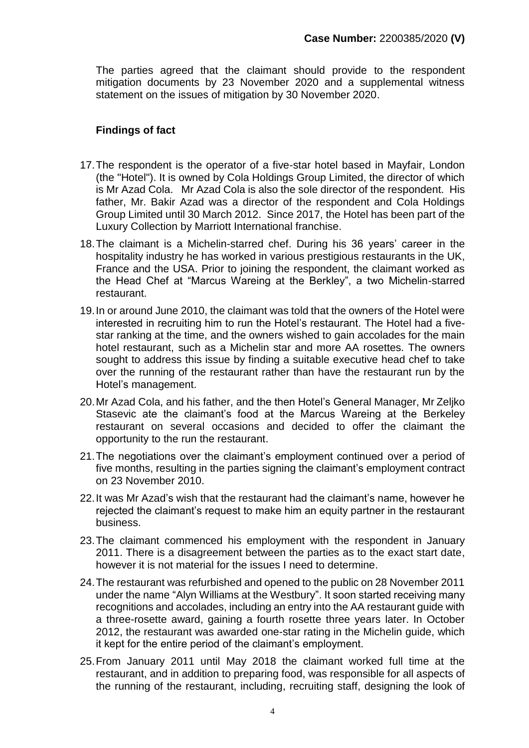The parties agreed that the claimant should provide to the respondent mitigation documents by 23 November 2020 and a supplemental witness statement on the issues of mitigation by 30 November 2020.

#### **Findings of fact**

- 17.The respondent is the operator of a five-star hotel based in Mayfair, London (the "Hotel"). It is owned by Cola Holdings Group Limited, the director of which is Mr Azad Cola. Mr Azad Cola is also the sole director of the respondent. His father, Mr. Bakir Azad was a director of the respondent and Cola Holdings Group Limited until 30 March 2012. Since 2017, the Hotel has been part of the Luxury Collection by Marriott International franchise.
- 18.The claimant is a Michelin-starred chef. During his 36 years' career in the hospitality industry he has worked in various prestigious restaurants in the UK, France and the USA. Prior to joining the respondent, the claimant worked as the Head Chef at "Marcus Wareing at the Berkley", a two Michelin-starred restaurant.
- 19.In or around June 2010, the claimant was told that the owners of the Hotel were interested in recruiting him to run the Hotel's restaurant. The Hotel had a fivestar ranking at the time, and the owners wished to gain accolades for the main hotel restaurant, such as a Michelin star and more AA rosettes. The owners sought to address this issue by finding a suitable executive head chef to take over the running of the restaurant rather than have the restaurant run by the Hotel's management.
- 20.Mr Azad Cola, and his father, and the then Hotel's General Manager, Mr Zeljko Stasevic ate the claimant's food at the Marcus Wareing at the Berkeley restaurant on several occasions and decided to offer the claimant the opportunity to the run the restaurant.
- 21.The negotiations over the claimant's employment continued over a period of five months, resulting in the parties signing the claimant's employment contract on 23 November 2010.
- 22.It was Mr Azad's wish that the restaurant had the claimant's name, however he rejected the claimant's request to make him an equity partner in the restaurant business.
- 23.The claimant commenced his employment with the respondent in January 2011. There is a disagreement between the parties as to the exact start date, however it is not material for the issues I need to determine.
- 24.The restaurant was refurbished and opened to the public on 28 November 2011 under the name "Alyn Williams at the Westbury". It soon started receiving many recognitions and accolades, including an entry into the AA restaurant guide with a three-rosette award, gaining a fourth rosette three years later. In October 2012, the restaurant was awarded one-star rating in the Michelin guide, which it kept for the entire period of the claimant's employment.
- 25.From January 2011 until May 2018 the claimant worked full time at the restaurant, and in addition to preparing food, was responsible for all aspects of the running of the restaurant, including, recruiting staff, designing the look of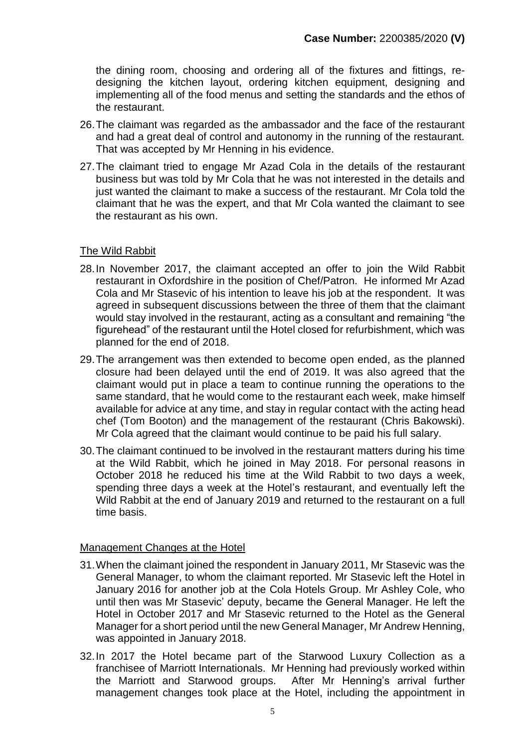the dining room, choosing and ordering all of the fixtures and fittings, redesigning the kitchen layout, ordering kitchen equipment, designing and implementing all of the food menus and setting the standards and the ethos of the restaurant.

- 26.The claimant was regarded as the ambassador and the face of the restaurant and had a great deal of control and autonomy in the running of the restaurant. That was accepted by Mr Henning in his evidence.
- 27.The claimant tried to engage Mr Azad Cola in the details of the restaurant business but was told by Mr Cola that he was not interested in the details and just wanted the claimant to make a success of the restaurant. Mr Cola told the claimant that he was the expert, and that Mr Cola wanted the claimant to see the restaurant as his own.

#### The Wild Rabbit

- 28.In November 2017, the claimant accepted an offer to join the Wild Rabbit restaurant in Oxfordshire in the position of Chef/Patron. He informed Mr Azad Cola and Mr Stasevic of his intention to leave his job at the respondent. It was agreed in subsequent discussions between the three of them that the claimant would stay involved in the restaurant, acting as a consultant and remaining "the figurehead" of the restaurant until the Hotel closed for refurbishment, which was planned for the end of 2018.
- 29.The arrangement was then extended to become open ended, as the planned closure had been delayed until the end of 2019. It was also agreed that the claimant would put in place a team to continue running the operations to the same standard, that he would come to the restaurant each week, make himself available for advice at any time, and stay in regular contact with the acting head chef (Tom Booton) and the management of the restaurant (Chris Bakowski). Mr Cola agreed that the claimant would continue to be paid his full salary.
- 30.The claimant continued to be involved in the restaurant matters during his time at the Wild Rabbit, which he joined in May 2018. For personal reasons in October 2018 he reduced his time at the Wild Rabbit to two days a week, spending three days a week at the Hotel's restaurant, and eventually left the Wild Rabbit at the end of January 2019 and returned to the restaurant on a full time basis.

#### Management Changes at the Hotel

- 31.When the claimant joined the respondent in January 2011, Mr Stasevic was the General Manager, to whom the claimant reported. Mr Stasevic left the Hotel in January 2016 for another job at the Cola Hotels Group. Mr Ashley Cole, who until then was Mr Stasevic' deputy, became the General Manager. He left the Hotel in October 2017 and Mr Stasevic returned to the Hotel as the General Manager for a short period until the new General Manager, Mr Andrew Henning, was appointed in January 2018.
- 32.In 2017 the Hotel became part of the Starwood Luxury Collection as a franchisee of Marriott Internationals. Mr Henning had previously worked within the Marriott and Starwood groups. After Mr Henning's arrival further management changes took place at the Hotel, including the appointment in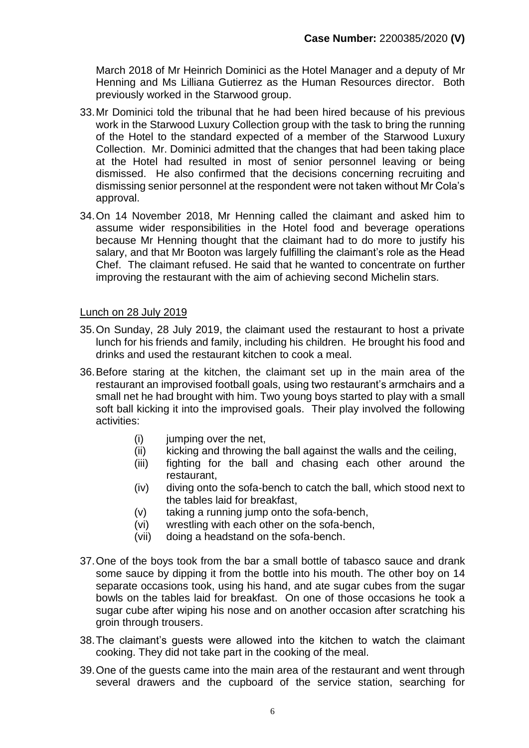March 2018 of Mr Heinrich Dominici as the Hotel Manager and a deputy of Mr Henning and Ms Lilliana Gutierrez as the Human Resources director. Both previously worked in the Starwood group.

- <span id="page-5-1"></span>33.Mr Dominici told the tribunal that he had been hired because of his previous work in the Starwood Luxury Collection group with the task to bring the running of the Hotel to the standard expected of a member of the Starwood Luxury Collection. Mr. Dominici admitted that the changes that had been taking place at the Hotel had resulted in most of senior personnel leaving or being dismissed. He also confirmed that the decisions concerning recruiting and dismissing senior personnel at the respondent were not taken without Mr Cola's approval.
- <span id="page-5-0"></span>34.On 14 November 2018, Mr Henning called the claimant and asked him to assume wider responsibilities in the Hotel food and beverage operations because Mr Henning thought that the claimant had to do more to justify his salary, and that Mr Booton was largely fulfilling the claimant's role as the Head Chef. The claimant refused. He said that he wanted to concentrate on further improving the restaurant with the aim of achieving second Michelin stars.

#### Lunch on 28 July 2019

- 35.On Sunday, 28 July 2019, the claimant used the restaurant to host a private lunch for his friends and family, including his children. He brought his food and drinks and used the restaurant kitchen to cook a meal.
- 36.Before staring at the kitchen, the claimant set up in the main area of the restaurant an improvised football goals, using two restaurant's armchairs and a small net he had brought with him. Two young boys started to play with a small soft ball kicking it into the improvised goals. Their play involved the following activities:
	- (i) jumping over the net,
	- (ii) kicking and throwing the ball against the walls and the ceiling,
	- (iii) fighting for the ball and chasing each other around the restaurant,
	- (iv) diving onto the sofa-bench to catch the ball, which stood next to the tables laid for breakfast,
	- (v) taking a running jump onto the sofa-bench,
	- (vi) wrestling with each other on the sofa-bench,
	- (vii) doing a headstand on the sofa-bench.
- 37.One of the boys took from the bar a small bottle of tabasco sauce and drank some sauce by dipping it from the bottle into his mouth. The other boy on 14 separate occasions took, using his hand, and ate sugar cubes from the sugar bowls on the tables laid for breakfast. On one of those occasions he took a sugar cube after wiping his nose and on another occasion after scratching his groin through trousers.
- 38.The claimant's guests were allowed into the kitchen to watch the claimant cooking. They did not take part in the cooking of the meal.
- 39.One of the guests came into the main area of the restaurant and went through several drawers and the cupboard of the service station, searching for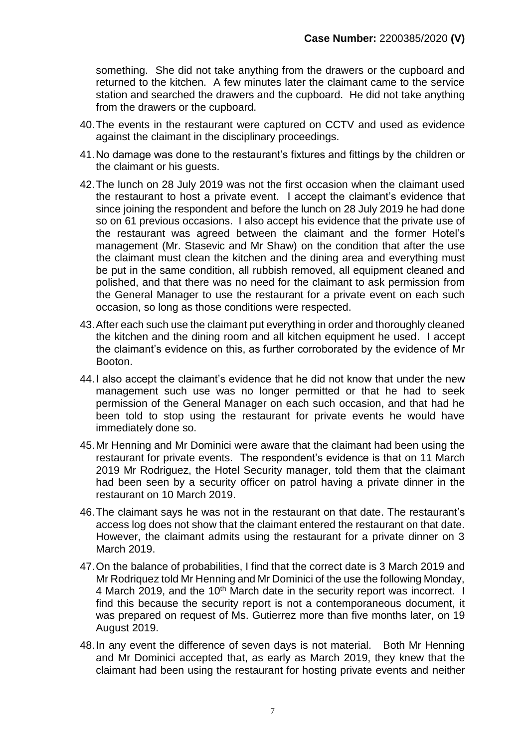something. She did not take anything from the drawers or the cupboard and returned to the kitchen. A few minutes later the claimant came to the service station and searched the drawers and the cupboard. He did not take anything from the drawers or the cupboard.

- 40.The events in the restaurant were captured on CCTV and used as evidence against the claimant in the disciplinary proceedings.
- 41.No damage was done to the restaurant's fixtures and fittings by the children or the claimant or his guests.
- <span id="page-6-0"></span>42.The lunch on 28 July 2019 was not the first occasion when the claimant used the restaurant to host a private event. I accept the claimant's evidence that since joining the respondent and before the lunch on 28 July 2019 he had done so on 61 previous occasions. I also accept his evidence that the private use of the restaurant was agreed between the claimant and the former Hotel's management (Mr. Stasevic and Mr Shaw) on the condition that after the use the claimant must clean the kitchen and the dining area and everything must be put in the same condition, all rubbish removed, all equipment cleaned and polished, and that there was no need for the claimant to ask permission from the General Manager to use the restaurant for a private event on each such occasion, so long as those conditions were respected.
- 43.After each such use the claimant put everything in order and thoroughly cleaned the kitchen and the dining room and all kitchen equipment he used. I accept the claimant's evidence on this, as further corroborated by the evidence of Mr Booton.
- 44.I also accept the claimant's evidence that he did not know that under the new management such use was no longer permitted or that he had to seek permission of the General Manager on each such occasion, and that had he been told to stop using the restaurant for private events he would have immediately done so.
- 45.Mr Henning and Mr Dominici were aware that the claimant had been using the restaurant for private events. The respondent's evidence is that on 11 March 2019 Mr Rodriguez, the Hotel Security manager, told them that the claimant had been seen by a security officer on patrol having a private dinner in the restaurant on 10 March 2019.
- 46.The claimant says he was not in the restaurant on that date. The restaurant's access log does not show that the claimant entered the restaurant on that date. However, the claimant admits using the restaurant for a private dinner on 3 March 2019.
- 47.On the balance of probabilities, I find that the correct date is 3 March 2019 and Mr Rodriquez told Mr Henning and Mr Dominici of the use the following Monday, 4 March 2019, and the 10<sup>th</sup> March date in the security report was incorrect. I find this because the security report is not a contemporaneous document, it was prepared on request of Ms. Gutierrez more than five months later, on 19 August 2019.
- 48.In any event the difference of seven days is not material. Both Mr Henning and Mr Dominici accepted that, as early as March 2019, they knew that the claimant had been using the restaurant for hosting private events and neither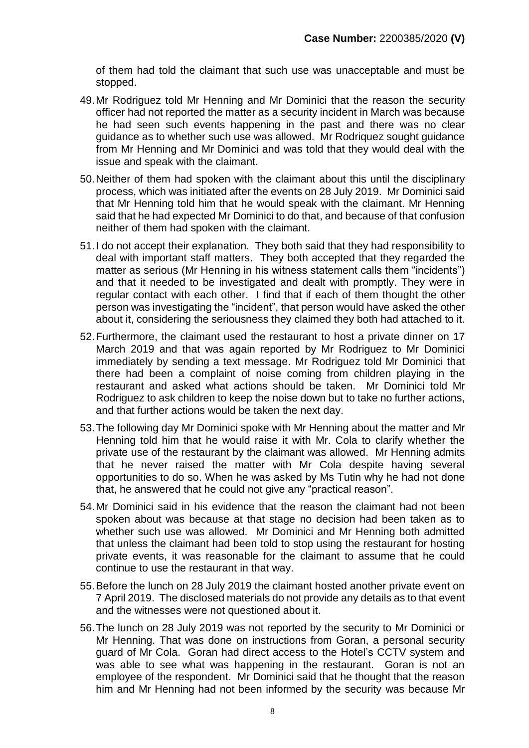of them had told the claimant that such use was unacceptable and must be stopped.

- 49.Mr Rodriguez told Mr Henning and Mr Dominici that the reason the security officer had not reported the matter as a security incident in March was because he had seen such events happening in the past and there was no clear guidance as to whether such use was allowed. Mr Rodriquez sought guidance from Mr Henning and Mr Dominici and was told that they would deal with the issue and speak with the claimant.
- 50.Neither of them had spoken with the claimant about this until the disciplinary process, which was initiated after the events on 28 July 2019. Mr Dominici said that Mr Henning told him that he would speak with the claimant. Mr Henning said that he had expected Mr Dominici to do that, and because of that confusion neither of them had spoken with the claimant.
- <span id="page-7-0"></span>51.I do not accept their explanation. They both said that they had responsibility to deal with important staff matters. They both accepted that they regarded the matter as serious (Mr Henning in his witness statement calls them "incidents") and that it needed to be investigated and dealt with promptly. They were in regular contact with each other. I find that if each of them thought the other person was investigating the "incident", that person would have asked the other about it, considering the seriousness they claimed they both had attached to it.
- 52.Furthermore, the claimant used the restaurant to host a private dinner on 17 March 2019 and that was again reported by Mr Rodriguez to Mr Dominici immediately by sending a text message. Mr Rodriguez told Mr Dominici that there had been a complaint of noise coming from children playing in the restaurant and asked what actions should be taken. Mr Dominici told Mr Rodriguez to ask children to keep the noise down but to take no further actions, and that further actions would be taken the next day.
- 53.The following day Mr Dominici spoke with Mr Henning about the matter and Mr Henning told him that he would raise it with Mr. Cola to clarify whether the private use of the restaurant by the claimant was allowed. Mr Henning admits that he never raised the matter with Mr Cola despite having several opportunities to do so. When he was asked by Ms Tutin why he had not done that, he answered that he could not give any "practical reason".
- 54.Mr Dominici said in his evidence that the reason the claimant had not been spoken about was because at that stage no decision had been taken as to whether such use was allowed. Mr Dominici and Mr Henning both admitted that unless the claimant had been told to stop using the restaurant for hosting private events, it was reasonable for the claimant to assume that he could continue to use the restaurant in that way.
- 55.Before the lunch on 28 July 2019 the claimant hosted another private event on 7 April 2019. The disclosed materials do not provide any details as to that event and the witnesses were not questioned about it.
- <span id="page-7-1"></span>56.The lunch on 28 July 2019 was not reported by the security to Mr Dominici or Mr Henning. That was done on instructions from Goran, a personal security guard of Mr Cola. Goran had direct access to the Hotel's CCTV system and was able to see what was happening in the restaurant. Goran is not an employee of the respondent. Mr Dominici said that he thought that the reason him and Mr Henning had not been informed by the security was because Mr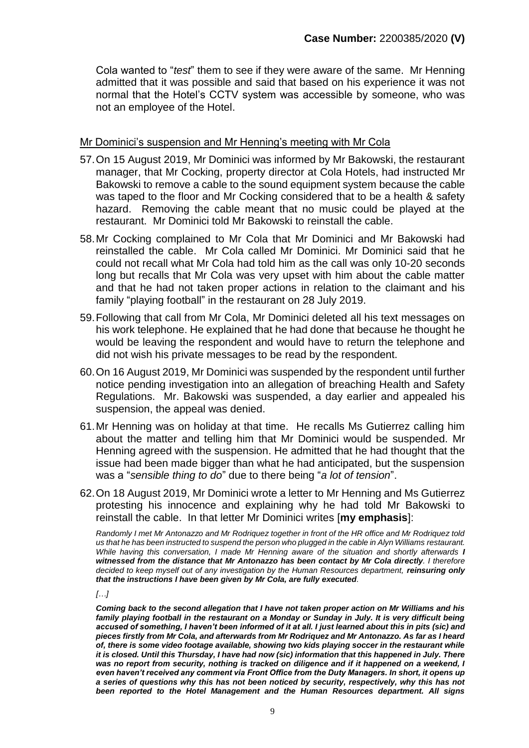Cola wanted to "*test*" them to see if they were aware of the same. Mr Henning admitted that it was possible and said that based on his experience it was not normal that the Hotel's CCTV system was accessible by someone, who was not an employee of the Hotel.

#### Mr Dominici's suspension and Mr Henning's meeting with Mr Cola

- 57.On 15 August 2019, Mr Dominici was informed by Mr Bakowski, the restaurant manager, that Mr Cocking, property director at Cola Hotels, had instructed Mr Bakowski to remove a cable to the sound equipment system because the cable was taped to the floor and Mr Cocking considered that to be a health & safety hazard. Removing the cable meant that no music could be played at the restaurant. Mr Dominici told Mr Bakowski to reinstall the cable.
- 58.Mr Cocking complained to Mr Cola that Mr Dominici and Mr Bakowski had reinstalled the cable. Mr Cola called Mr Dominici. Mr Dominici said that he could not recall what Mr Cola had told him as the call was only 10-20 seconds long but recalls that Mr Cola was very upset with him about the cable matter and that he had not taken proper actions in relation to the claimant and his family "playing football" in the restaurant on 28 July 2019.
- 59.Following that call from Mr Cola, Mr Dominici deleted all his text messages on his work telephone. He explained that he had done that because he thought he would be leaving the respondent and would have to return the telephone and did not wish his private messages to be read by the respondent.
- 60.On 16 August 2019, Mr Dominici was suspended by the respondent until further notice pending investigation into an allegation of breaching Health and Safety Regulations. Mr. Bakowski was suspended, a day earlier and appealed his suspension, the appeal was denied.
- 61.Mr Henning was on holiday at that time. He recalls Ms Gutierrez calling him about the matter and telling him that Mr Dominici would be suspended. Mr Henning agreed with the suspension. He admitted that he had thought that the issue had been made bigger than what he had anticipated, but the suspension was a "*sensible thing to do*" due to there being "*a lot of tension*".
- 62.On 18 August 2019, Mr Dominici wrote a letter to Mr Henning and Ms Gutierrez protesting his innocence and explaining why he had told Mr Bakowski to reinstall the cable. In that letter Mr Dominici writes [**my emphasis**]:

*Randomly I met Mr Antonazzo and Mr Rodriquez together in front of the HR office and Mr Rodriquez told us that he has been instructed to suspend the person who plugged in the cable in Alyn Williams restaurant. While having this conversation, I made Mr Henning aware of the situation and shortly afterwards I witnessed from the distance that Mr Antonazzo has been contact by Mr Cola directly. I therefore decided to keep myself out of any investigation by the Human Resources department, reinsuring only that the instructions I have been given by Mr Cola, are fully executed.*

*[…]*

*Coming back to the second allegation that I have not taken proper action on Mr Williams and his family playing football in the restaurant on a Monday or Sunday in July. It is very difficult being accused of something, I haven't been informed of it at all. I just learned about this in pits (sic) and pieces firstly from Mr Cola, and afterwards from Mr Rodriquez and Mr Antonazzo. As far as I heard of, there is some video footage available, showing two kids playing soccer in the restaurant while it is closed. Until this Thursday, I have had now (sic) information that this happened in July. There was no report from security, nothing is tracked on diligence and if it happened on a weekend, I even haven't received any comment via Front Office from the Duty Managers. In short, it opens up a series of questions why this has not been noticed by security, respectively, why this has not been reported to the Hotel Management and the Human Resources department. All signs*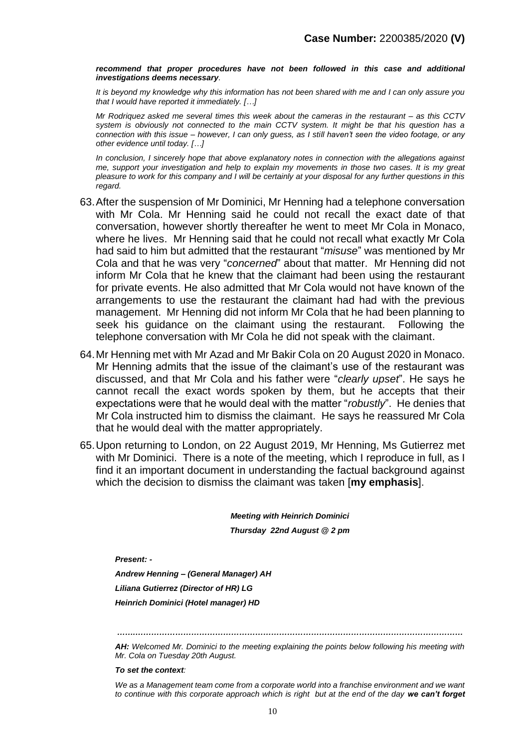*recommend that proper procedures have not been followed in this case and additional investigations deems necessary.*

*It is beyond my knowledge why this information has not been shared with me and I can only assure you that I would have reported it immediately. […]*

*Mr Rodriquez asked me several times this week about the cameras in the restaurant – as this CCTV system is obviously not connected to the main CCTV system. It might be that his question has a connection with this issue – however, I can only guess, as I still haven't seen the video footage, or any other evidence until today. […]* 

*In conclusion, I sincerely hope that above explanatory notes in connection with the allegations against me, support your investigation and help to explain my movements in those two cases. It is my great pleasure to work for this company and I will be certainly at your disposal for any further questions in this regard.*

- 63.After the suspension of Mr Dominici, Mr Henning had a telephone conversation with Mr Cola. Mr Henning said he could not recall the exact date of that conversation, however shortly thereafter he went to meet Mr Cola in Monaco, where he lives. Mr Henning said that he could not recall what exactly Mr Cola had said to him but admitted that the restaurant "*misuse*" was mentioned by Mr Cola and that he was very "*concerned*" about that matter. Mr Henning did not inform Mr Cola that he knew that the claimant had been using the restaurant for private events. He also admitted that Mr Cola would not have known of the arrangements to use the restaurant the claimant had had with the previous management. Mr Henning did not inform Mr Cola that he had been planning to seek his guidance on the claimant using the restaurant. Following the telephone conversation with Mr Cola he did not speak with the claimant.
- 64.Mr Henning met with Mr Azad and Mr Bakir Cola on 20 August 2020 in Monaco. Mr Henning admits that the issue of the claimant's use of the restaurant was discussed, and that Mr Cola and his father were "*clearly upset*". He says he cannot recall the exact words spoken by them, but he accepts that their expectations were that he would deal with the matter "*robustly*". He denies that Mr Cola instructed him to dismiss the claimant. He says he reassured Mr Cola that he would deal with the matter appropriately.
- 65.Upon returning to London, on 22 August 2019, Mr Henning, Ms Gutierrez met with Mr Dominici. There is a note of the meeting, which I reproduce in full, as I find it an important document in understanding the factual background against which the decision to dismiss the claimant was taken [**my emphasis**].

*Meeting with Heinrich Dominici Thursday 22nd August @ 2 pm*

*Present: -*

*Andrew Henning – (General Manager) AH Liliana Gutierrez (Director of HR) LG Heinrich Dominici (Hotel manager) HD*

*…….……………………………………………………………………………………………………………*

*AH: Welcomed Mr. Dominici to the meeting explaining the points below following his meeting with Mr. Cola on Tuesday 20th August.* 

*To set the context:* 

We as a Management team come from a corporate world into a franchise environment and we want to continue with this corporate approach which is right but at the end of the day we can't forget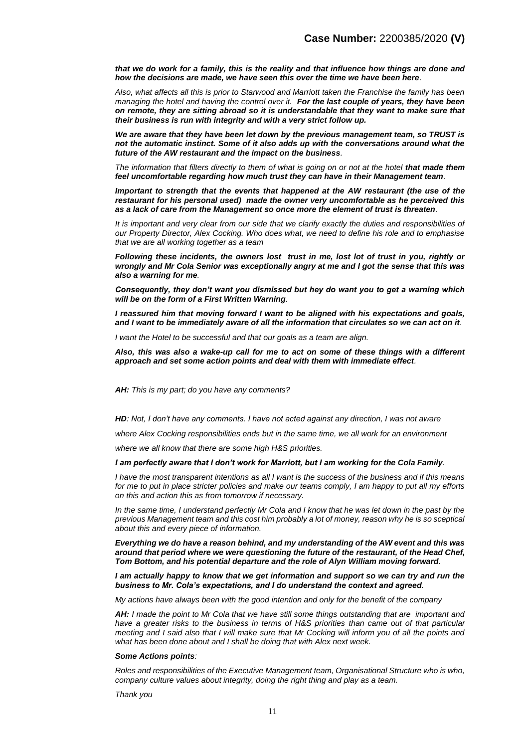*that we do work for a family, this is the reality and that influence how things are done and how the decisions are made, we have seen this over the time we have been here.* 

*Also, what affects all this is prior to Starwood and Marriott taken the Franchise the family has been managing the hotel and having the control over it. For the last couple of years, they have been on remote, they are sitting abroad so it is understandable that they want to make sure that their business is run with integrity and with a very strict follow up.*

*We are aware that they have been let down by the previous management team, so TRUST is not the automatic instinct. Some of it also adds up with the conversations around what the future of the AW restaurant and the impact on the business.* 

*The information that filters directly to them of what is going on or not at the hotel that made them feel uncomfortable regarding how much trust they can have in their Management team.* 

*Important to strength that the events that happened at the AW restaurant (the use of the restaurant for his personal used) made the owner very uncomfortable as he perceived this as a lack of care from the Management so once more the element of trust is threaten.* 

*It is important and very clear from our side that we clarify exactly the duties and responsibilities of our Property Director, Alex Cocking. Who does what, we need to define his role and to emphasise that we are all working together as a team* 

*Following these incidents, the owners lost trust in me, lost lot of trust in you, rightly or wrongly and Mr Cola Senior was exceptionally angry at me and I got the sense that this was also a warning for me.* 

*Consequently, they don't want you dismissed but hey do want you to get a warning which will be on the form of a First Written Warning.* 

*I reassured him that moving forward I want to be aligned with his expectations and goals, and I want to be immediately aware of all the information that circulates so we can act on it.* 

*I want the Hotel to be successful and that our goals as a team are align.* 

*Also, this was also a wake-up call for me to act on some of these things with a different approach and set some action points and deal with them with immediate effect.* 

*AH: This is my part; do you have any comments?* 

*HD: Not, I don't have any comments. I have not acted against any direction, I was not aware* 

*where Alex Cocking responsibilities ends but in the same time, we all work for an environment* 

*where we all know that there are some high H&S priorities.* 

#### *I am perfectly aware that I don't work for Marriott, but I am working for the Cola Family.*

*I have the most transparent intentions as all I want is the success of the business and if this means for me to put in place stricter policies and make our teams comply, I am happy to put all my efforts on this and action this as from tomorrow if necessary.* 

*In the same time, I understand perfectly Mr Cola and I know that he was let down in the past by the previous Management team and this cost him probably a lot of money, reason why he is so sceptical about this and every piece of information.* 

*Everything we do have a reason behind, and my understanding of the AW event and this was around that period where we were questioning the future of the restaurant, of the Head Chef, Tom Bottom, and his potential departure and the role of Alyn William moving forward.* 

*I am actually happy to know that we get information and support so we can try and run the business to Mr. Cola's expectations, and I do understand the context and agreed.* 

*My actions have always been with the good intention and only for the benefit of the company* 

*AH: I made the point to Mr Cola that we have still some things outstanding that are important and have a greater risks to the business in terms of H&S priorities than came out of that particular meeting and I said also that I will make sure that Mr Cocking will inform you of all the points and what has been done about and I shall be doing that with Alex next week.* 

#### *Some Actions points:*

*Roles and responsibilities of the Executive Management team, Organisational Structure who is who, company culture values about integrity, doing the right thing and play as a team.* 

*Thank you*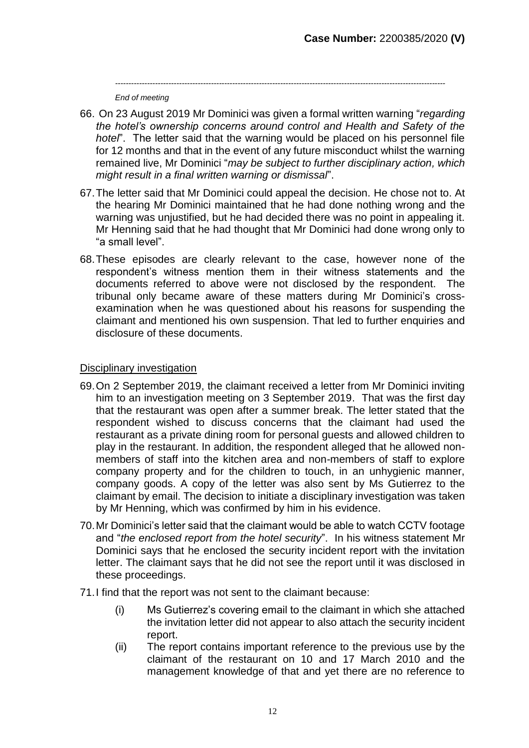*----------------------------------------------------------------------------------------------------------------------------*

*End of meeting*

- 66. On 23 August 2019 Mr Dominici was given a formal written warning "*regarding the hotel's ownership concerns around control and Health and Safety of the hotel*". The letter said that the warning would be placed on his personnel file for 12 months and that in the event of any future misconduct whilst the warning remained live, Mr Dominici "*may be subject to further disciplinary action, which might result in a final written warning or dismissal*".
- 67.The letter said that Mr Dominici could appeal the decision. He chose not to. At the hearing Mr Dominici maintained that he had done nothing wrong and the warning was unjustified, but he had decided there was no point in appealing it. Mr Henning said that he had thought that Mr Dominici had done wrong only to "a small level".
- 68.These episodes are clearly relevant to the case, however none of the respondent's witness mention them in their witness statements and the documents referred to above were not disclosed by the respondent. The tribunal only became aware of these matters during Mr Dominici's crossexamination when he was questioned about his reasons for suspending the claimant and mentioned his own suspension. That led to further enquiries and disclosure of these documents.

#### Disciplinary investigation

- <span id="page-11-0"></span>69.On 2 September 2019, the claimant received a letter from Mr Dominici inviting him to an investigation meeting on 3 September 2019. That was the first day that the restaurant was open after a summer break. The letter stated that the respondent wished to discuss concerns that the claimant had used the restaurant as a private dining room for personal guests and allowed children to play in the restaurant. In addition, the respondent alleged that he allowed nonmembers of staff into the kitchen area and non-members of staff to explore company property and for the children to touch, in an unhygienic manner, company goods. A copy of the letter was also sent by Ms Gutierrez to the claimant by email. The decision to initiate a disciplinary investigation was taken by Mr Henning, which was confirmed by him in his evidence.
- 70.Mr Dominici's letter said that the claimant would be able to watch CCTV footage and "*the enclosed report from the hotel security*". In his witness statement Mr Dominici says that he enclosed the security incident report with the invitation letter. The claimant says that he did not see the report until it was disclosed in these proceedings.
- 71.I find that the report was not sent to the claimant because:
	- (i) Ms Gutierrez's covering email to the claimant in which she attached the invitation letter did not appear to also attach the security incident report.
	- (ii) The report contains important reference to the previous use by the claimant of the restaurant on 10 and 17 March 2010 and the management knowledge of that and yet there are no reference to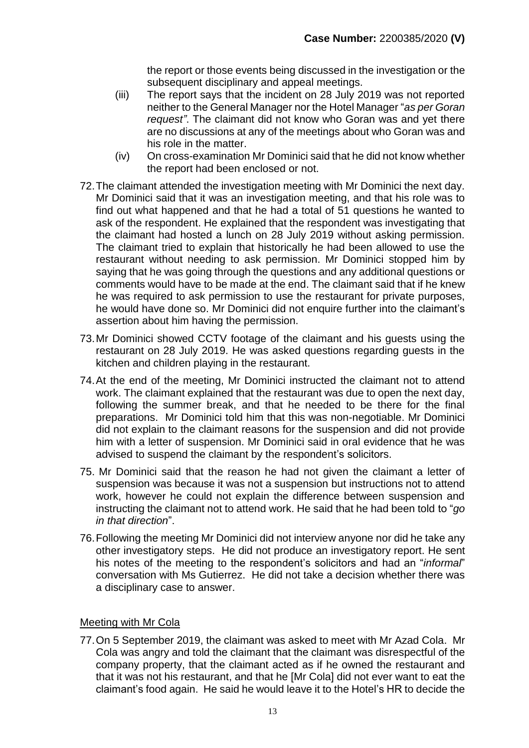the report or those events being discussed in the investigation or the subsequent disciplinary and appeal meetings.

- (iii) The report says that the incident on 28 July 2019 was not reported neither to the General Manager nor the Hotel Manager "*as per Goran request"*. The claimant did not know who Goran was and yet there are no discussions at any of the meetings about who Goran was and his role in the matter.
- (iv) On cross-examination Mr Dominici said that he did not know whether the report had been enclosed or not.
- 72.The claimant attended the investigation meeting with Mr Dominici the next day. Mr Dominici said that it was an investigation meeting, and that his role was to find out what happened and that he had a total of 51 questions he wanted to ask of the respondent. He explained that the respondent was investigating that the claimant had hosted a lunch on 28 July 2019 without asking permission. The claimant tried to explain that historically he had been allowed to use the restaurant without needing to ask permission. Mr Dominici stopped him by saying that he was going through the questions and any additional questions or comments would have to be made at the end. The claimant said that if he knew he was required to ask permission to use the restaurant for private purposes, he would have done so. Mr Dominici did not enquire further into the claimant's assertion about him having the permission.
- 73.Mr Dominici showed CCTV footage of the claimant and his guests using the restaurant on 28 July 2019. He was asked questions regarding guests in the kitchen and children playing in the restaurant.
- 74.At the end of the meeting, Mr Dominici instructed the claimant not to attend work. The claimant explained that the restaurant was due to open the next day, following the summer break, and that he needed to be there for the final preparations. Mr Dominici told him that this was non-negotiable. Mr Dominici did not explain to the claimant reasons for the suspension and did not provide him with a letter of suspension. Mr Dominici said in oral evidence that he was advised to suspend the claimant by the respondent's solicitors.
- 75. Mr Dominici said that the reason he had not given the claimant a letter of suspension was because it was not a suspension but instructions not to attend work, however he could not explain the difference between suspension and instructing the claimant not to attend work. He said that he had been told to "*go in that direction*".
- <span id="page-12-0"></span>76.Following the meeting Mr Dominici did not interview anyone nor did he take any other investigatory steps. He did not produce an investigatory report. He sent his notes of the meeting to the respondent's solicitors and had an "*informal*" conversation with Ms Gutierrez. He did not take a decision whether there was a disciplinary case to answer.

#### Meeting with Mr Cola

77.On 5 September 2019, the claimant was asked to meet with Mr Azad Cola. Mr Cola was angry and told the claimant that the claimant was disrespectful of the company property, that the claimant acted as if he owned the restaurant and that it was not his restaurant, and that he [Mr Cola] did not ever want to eat the claimant's food again. He said he would leave it to the Hotel's HR to decide the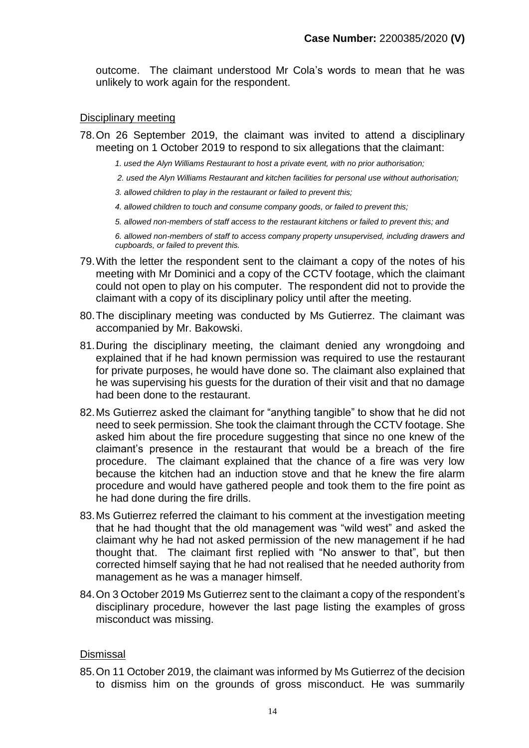outcome. The claimant understood Mr Cola's words to mean that he was unlikely to work again for the respondent.

#### Disciplinary meeting

- 78.On 26 September 2019, the claimant was invited to attend a disciplinary meeting on 1 October 2019 to respond to six allegations that the claimant:
	- *1. used the Alyn Williams Restaurant to host a private event, with no prior authorisation;*
	- *2. used the Alyn Williams Restaurant and kitchen facilities for personal use without authorisation;*
	- *3. allowed children to play in the restaurant or failed to prevent this;*
	- *4. allowed children to touch and consume company goods, or failed to prevent this;*
	- *5. allowed non-members of staff access to the restaurant kitchens or failed to prevent this; and*

*6. allowed non-members of staff to access company property unsupervised, including drawers and cupboards, or failed to prevent this.*

- 79.With the letter the respondent sent to the claimant a copy of the notes of his meeting with Mr Dominici and a copy of the CCTV footage, which the claimant could not open to play on his computer. The respondent did not to provide the claimant with a copy of its disciplinary policy until after the meeting.
- 80.The disciplinary meeting was conducted by Ms Gutierrez. The claimant was accompanied by Mr. Bakowski.
- 81.During the disciplinary meeting, the claimant denied any wrongdoing and explained that if he had known permission was required to use the restaurant for private purposes, he would have done so. The claimant also explained that he was supervising his guests for the duration of their visit and that no damage had been done to the restaurant.
- 82.Ms Gutierrez asked the claimant for "anything tangible" to show that he did not need to seek permission. She took the claimant through the CCTV footage. She asked him about the fire procedure suggesting that since no one knew of the claimant's presence in the restaurant that would be a breach of the fire procedure. The claimant explained that the chance of a fire was very low because the kitchen had an induction stove and that he knew the fire alarm procedure and would have gathered people and took them to the fire point as he had done during the fire drills.
- 83.Ms Gutierrez referred the claimant to his comment at the investigation meeting that he had thought that the old management was "wild west" and asked the claimant why he had not asked permission of the new management if he had thought that. The claimant first replied with "No answer to that", but then corrected himself saying that he had not realised that he needed authority from management as he was a manager himself.
- 84.On 3 October 2019 Ms Gutierrez sent to the claimant a copy of the respondent's disciplinary procedure, however the last page listing the examples of gross misconduct was missing.

#### **Dismissal**

85.On 11 October 2019, the claimant was informed by Ms Gutierrez of the decision to dismiss him on the grounds of gross misconduct. He was summarily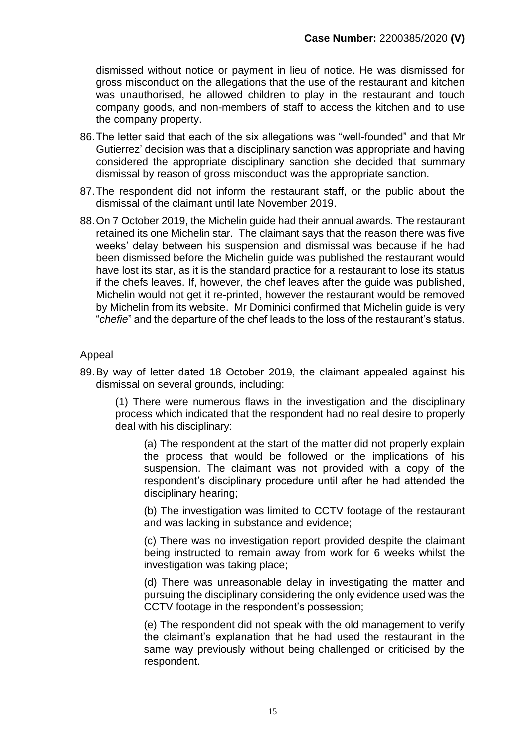dismissed without notice or payment in lieu of notice. He was dismissed for gross misconduct on the allegations that the use of the restaurant and kitchen was unauthorised, he allowed children to play in the restaurant and touch company goods, and non-members of staff to access the kitchen and to use the company property.

- 86.The letter said that each of the six allegations was "well-founded" and that Mr Gutierrez' decision was that a disciplinary sanction was appropriate and having considered the appropriate disciplinary sanction she decided that summary dismissal by reason of gross misconduct was the appropriate sanction.
- 87.The respondent did not inform the restaurant staff, or the public about the dismissal of the claimant until late November 2019.
- 88.On 7 October 2019, the Michelin guide had their annual awards. The restaurant retained its one Michelin star. The claimant says that the reason there was five weeks' delay between his suspension and dismissal was because if he had been dismissed before the Michelin guide was published the restaurant would have lost its star, as it is the standard practice for a restaurant to lose its status if the chefs leaves. If, however, the chef leaves after the guide was published, Michelin would not get it re-printed, however the restaurant would be removed by Michelin from its website. Mr Dominici confirmed that Michelin guide is very "*chefie*" and the departure of the chef leads to the loss of the restaurant's status.

#### Appeal

89.By way of letter dated 18 October 2019, the claimant appealed against his dismissal on several grounds, including:

(1) There were numerous flaws in the investigation and the disciplinary process which indicated that the respondent had no real desire to properly deal with his disciplinary:

(a) The respondent at the start of the matter did not properly explain the process that would be followed or the implications of his suspension. The claimant was not provided with a copy of the respondent's disciplinary procedure until after he had attended the disciplinary hearing;

(b) The investigation was limited to CCTV footage of the restaurant and was lacking in substance and evidence;

(c) There was no investigation report provided despite the claimant being instructed to remain away from work for 6 weeks whilst the investigation was taking place;

(d) There was unreasonable delay in investigating the matter and pursuing the disciplinary considering the only evidence used was the CCTV footage in the respondent's possession;

(e) The respondent did not speak with the old management to verify the claimant's explanation that he had used the restaurant in the same way previously without being challenged or criticised by the respondent.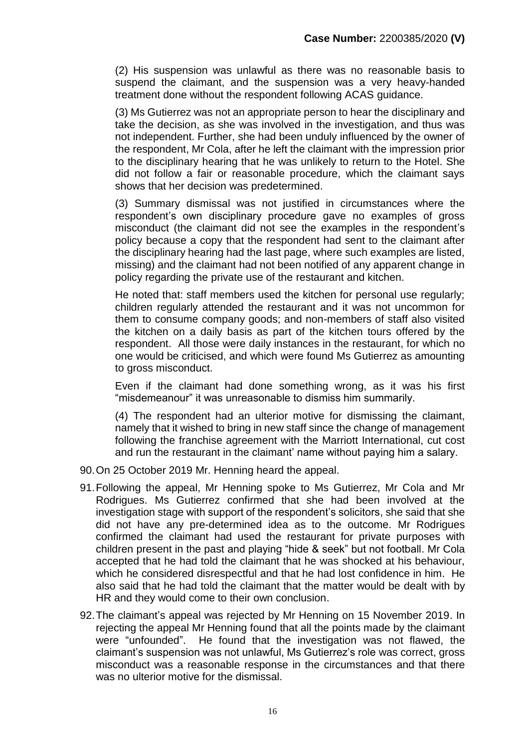(2) His suspension was unlawful as there was no reasonable basis to suspend the claimant, and the suspension was a very heavy-handed treatment done without the respondent following ACAS guidance.

(3) Ms Gutierrez was not an appropriate person to hear the disciplinary and take the decision, as she was involved in the investigation, and thus was not independent. Further, she had been unduly influenced by the owner of the respondent, Mr Cola, after he left the claimant with the impression prior to the disciplinary hearing that he was unlikely to return to the Hotel. She did not follow a fair or reasonable procedure, which the claimant says shows that her decision was predetermined.

(3) Summary dismissal was not justified in circumstances where the respondent's own disciplinary procedure gave no examples of gross misconduct (the claimant did not see the examples in the respondent's policy because a copy that the respondent had sent to the claimant after the disciplinary hearing had the last page, where such examples are listed, missing) and the claimant had not been notified of any apparent change in policy regarding the private use of the restaurant and kitchen.

He noted that: staff members used the kitchen for personal use regularly; children regularly attended the restaurant and it was not uncommon for them to consume company goods; and non-members of staff also visited the kitchen on a daily basis as part of the kitchen tours offered by the respondent. All those were daily instances in the restaurant, for which no one would be criticised, and which were found Ms Gutierrez as amounting to gross misconduct.

Even if the claimant had done something wrong, as it was his first "misdemeanour" it was unreasonable to dismiss him summarily.

(4) The respondent had an ulterior motive for dismissing the claimant, namely that it wished to bring in new staff since the change of management following the franchise agreement with the Marriott International, cut cost and run the restaurant in the claimant' name without paying him a salary.

- 90.On 25 October 2019 Mr. Henning heard the appeal.
- 91.Following the appeal, Mr Henning spoke to Ms Gutierrez, Mr Cola and Mr Rodrigues. Ms Gutierrez confirmed that she had been involved at the investigation stage with support of the respondent's solicitors, she said that she did not have any pre-determined idea as to the outcome. Mr Rodrigues confirmed the claimant had used the restaurant for private purposes with children present in the past and playing "hide & seek" but not football. Mr Cola accepted that he had told the claimant that he was shocked at his behaviour, which he considered disrespectful and that he had lost confidence in him. He also said that he had told the claimant that the matter would be dealt with by HR and they would come to their own conclusion.
- 92.The claimant's appeal was rejected by Mr Henning on 15 November 2019. In rejecting the appeal Mr Henning found that all the points made by the claimant were "unfounded". He found that the investigation was not flawed, the claimant's suspension was not unlawful, Ms Gutierrez's role was correct, gross misconduct was a reasonable response in the circumstances and that there was no ulterior motive for the dismissal.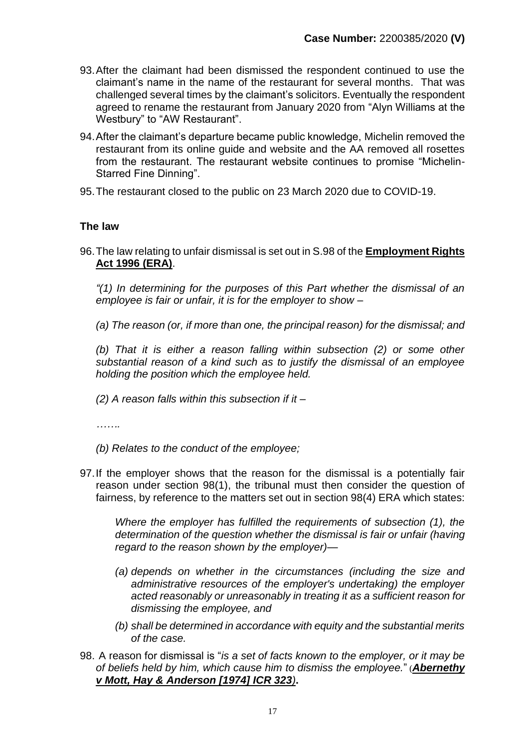- 93.After the claimant had been dismissed the respondent continued to use the claimant's name in the name of the restaurant for several months. That was challenged several times by the claimant's solicitors. Eventually the respondent agreed to rename the restaurant from January 2020 from "Alyn Williams at the Westbury" to "AW Restaurant".
- 94.After the claimant's departure became public knowledge, Michelin removed the restaurant from its online guide and website and the AA removed all rosettes from the restaurant. The restaurant website continues to promise "Michelin-Starred Fine Dinning".
- 95.The restaurant closed to the public on 23 March 2020 due to COVID-19.

#### **The law**

96.The law relating to unfair dismissal is set out in S.98 of the **Employment Rights Act 1996 (ERA)**.

*"(1) In determining for the purposes of this Part whether the dismissal of an employee is fair or unfair, it is for the employer to show –*

*(a) The reason (or, if more than one, the principal reason) for the dismissal; and* 

*(b) That it is either a reason falling within subsection (2) or some other substantial reason of a kind such as to justify the dismissal of an employee holding the position which the employee held.* 

*(2) A reason falls within this subsection if it –*

*…….*

- *(b) Relates to the conduct of the employee;*
- 97.If the employer shows that the reason for the dismissal is a potentially fair reason under section 98(1), the tribunal must then consider the question of fairness, by reference to the matters set out in section 98(4) ERA which states:

*Where the employer has fulfilled the requirements of subsection (1), the determination of the question whether the dismissal is fair or unfair (having regard to the reason shown by the employer)—*

- *(a) depends on whether in the circumstances (including the size and administrative resources of the employer's undertaking) the employer acted reasonably or unreasonably in treating it as a sufficient reason for dismissing the employee, and*
- *(b) shall be determined in accordance with equity and the substantial merits of the case.*
- 98. A reason for dismissal is "*is a set of facts known to the employer, or it may be of beliefs held by him, which cause him to dismiss the employee.*" (*Abernethy v Mott, Hay & Anderson [1974] ICR 323)***.**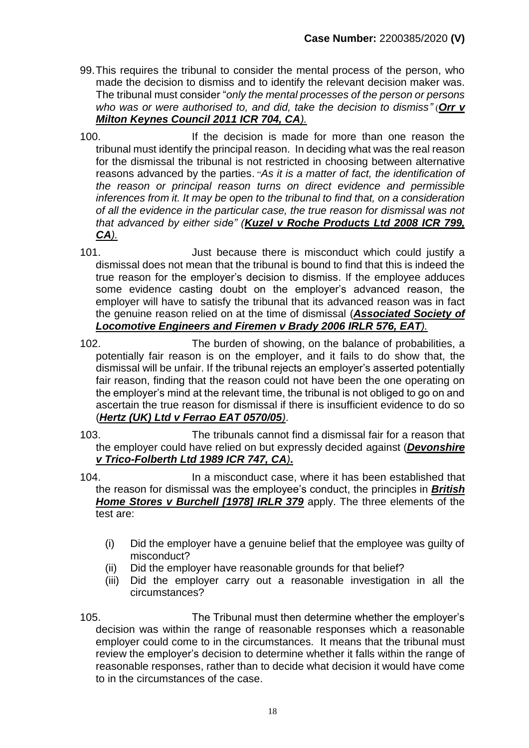- 99.This requires the tribunal to consider the mental process of the person, who made the decision to dismiss and to identify the relevant decision maker was. The tribunal must consider "*only the mental processes of the person or persons who was or were authorised to, and did, take the decision to dismiss"* (*Orr v Milton Keynes Council 2011 ICR 704, CA).*
- 100. If the decision is made for more than one reason the tribunal must identify the principal reason. In deciding what was the real reason for the dismissal the tribunal is not restricted in choosing between alternative reasons advanced by the parties. "*As it is a matter of fact, the identification of the reason or principal reason turns on direct evidence and permissible inferences from it. It may be open to the tribunal to find that, on a consideration of all the evidence in the particular case, the true reason for dismissal was not that advanced by either side" (Kuzel v Roche Products Ltd 2008 ICR 799, CA).*
- 101. Just because there is misconduct which could justify a dismissal does not mean that the tribunal is bound to find that this is indeed the true reason for the employer's decision to dismiss. If the employee adduces some evidence casting doubt on the employer's advanced reason, the employer will have to satisfy the tribunal that its advanced reason was in fact the genuine reason relied on at the time of dismissal (*Associated Society of Locomotive Engineers and Firemen v Brady 2006 IRLR 576, EAT).*
- 102. The burden of showing, on the balance of probabilities, a potentially fair reason is on the employer, and it fails to do show that, the dismissal will be unfair. If the tribunal rejects an employer's asserted potentially fair reason, finding that the reason could not have been the one operating on the employer's mind at the relevant time, the tribunal is not obliged to go on and ascertain the true reason for dismissal if there is insufficient evidence to do so (*Hertz (UK) Ltd v Ferrao EAT 0570/05)*.
- 103. The tribunals cannot find a dismissal fair for a reason that the employer could have relied on but expressly decided against (*Devonshire v Trico-Folberth Ltd 1989 ICR 747, CA)***.**
- 104. In a misconduct case, where it has been established that the reason for dismissal was the employee's conduct, the principles in *British Home Stores v Burchell [1978] IRLR 379* apply. The three elements of the test are:
	- (i) Did the employer have a genuine belief that the employee was guilty of misconduct?
	- (ii) Did the employer have reasonable grounds for that belief?
	- (iii) Did the employer carry out a reasonable investigation in all the circumstances?
- 105. The Tribunal must then determine whether the employer's decision was within the range of reasonable responses which a reasonable employer could come to in the circumstances. It means that the tribunal must review the employer's decision to determine whether it falls within the range of reasonable responses, rather than to decide what decision it would have come to in the circumstances of the case.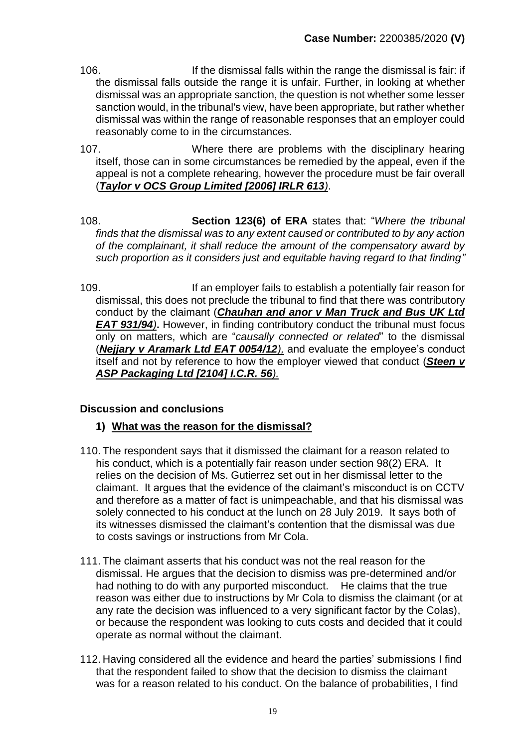- 106. If the dismissal falls within the range the dismissal is fair: if the dismissal falls outside the range it is unfair. Further, in looking at whether dismissal was an appropriate sanction, the question is not whether some lesser sanction would, in the tribunal's view, have been appropriate, but rather whether dismissal was within the range of reasonable responses that an employer could reasonably come to in the circumstances.
- 107. Where there are problems with the disciplinary hearing itself, those can in some circumstances be remedied by the appeal, even if the appeal is not a complete rehearing, however the procedure must be fair overall (*Taylor v OCS Group Limited [2006] IRLR 613)*.
- 108. **Section 123(6) of ERA** states that: "*Where the tribunal finds that the dismissal was to any extent caused or contributed to by any action of the complainant, it shall reduce the amount of the compensatory award by such proportion as it considers just and equitable having regard to that finding"*
- 109. If an employer fails to establish a potentially fair reason for dismissal, this does not preclude the tribunal to find that there was contributory conduct by the claimant (*Chauhan and anor v Man Truck and Bus UK Ltd EAT 931/94)***.** However, in finding contributory conduct the tribunal must focus only on matters, which are "*causally connected or related*" to the dismissal (*Nejjary v Aramark Ltd EAT 0054/12),* and evaluate the employee's conduct itself and not by reference to how the employer viewed that conduct (*Steen v ASP Packaging Ltd [2104] I.C.R. 56).*

### **Discussion and conclusions**

#### **1) What was the reason for the dismissal?**

- 110. The respondent says that it dismissed the claimant for a reason related to his conduct, which is a potentially fair reason under section 98(2) ERA. It relies on the decision of Ms. Gutierrez set out in her dismissal letter to the claimant. It argues that the evidence of the claimant's misconduct is on CCTV and therefore as a matter of fact is unimpeachable, and that his dismissal was solely connected to his conduct at the lunch on 28 July 2019. It says both of its witnesses dismissed the claimant's contention that the dismissal was due to costs savings or instructions from Mr Cola.
- 111. The claimant asserts that his conduct was not the real reason for the dismissal. He argues that the decision to dismiss was pre-determined and/or had nothing to do with any purported misconduct. He claims that the true reason was either due to instructions by Mr Cola to dismiss the claimant (or at any rate the decision was influenced to a very significant factor by the Colas), or because the respondent was looking to cuts costs and decided that it could operate as normal without the claimant.
- <span id="page-18-0"></span>112. Having considered all the evidence and heard the parties' submissions I find that the respondent failed to show that the decision to dismiss the claimant was for a reason related to his conduct. On the balance of probabilities, I find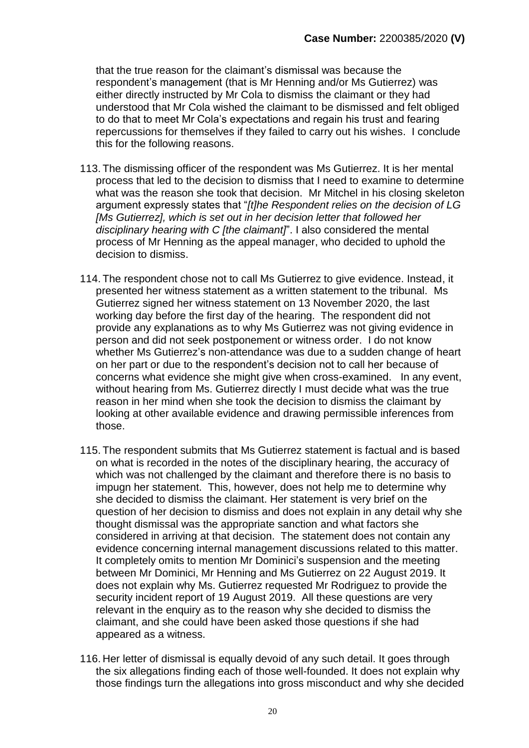that the true reason for the claimant's dismissal was because the respondent's management (that is Mr Henning and/or Ms Gutierrez) was either directly instructed by Mr Cola to dismiss the claimant or they had understood that Mr Cola wished the claimant to be dismissed and felt obliged to do that to meet Mr Cola's expectations and regain his trust and fearing repercussions for themselves if they failed to carry out his wishes. I conclude this for the following reasons.

- 113. The dismissing officer of the respondent was Ms Gutierrez. It is her mental process that led to the decision to dismiss that I need to examine to determine what was the reason she took that decision. Mr Mitchel in his closing skeleton argument expressly states that "*[t]he Respondent relies on the decision of LG [Ms Gutierrez], which is set out in her decision letter that followed her disciplinary hearing with C [the claimant]*". I also considered the mental process of Mr Henning as the appeal manager, who decided to uphold the decision to dismiss.
- 114. The respondent chose not to call Ms Gutierrez to give evidence. Instead, it presented her witness statement as a written statement to the tribunal. Ms Gutierrez signed her witness statement on 13 November 2020, the last working day before the first day of the hearing. The respondent did not provide any explanations as to why Ms Gutierrez was not giving evidence in person and did not seek postponement or witness order. I do not know whether Ms Gutierrez's non-attendance was due to a sudden change of heart on her part or due to the respondent's decision not to call her because of concerns what evidence she might give when cross-examined. In any event, without hearing from Ms. Gutierrez directly I must decide what was the true reason in her mind when she took the decision to dismiss the claimant by looking at other available evidence and drawing permissible inferences from those.
- 115. The respondent submits that Ms Gutierrez statement is factual and is based on what is recorded in the notes of the disciplinary hearing, the accuracy of which was not challenged by the claimant and therefore there is no basis to impugn her statement. This, however, does not help me to determine why she decided to dismiss the claimant. Her statement is very brief on the question of her decision to dismiss and does not explain in any detail why she thought dismissal was the appropriate sanction and what factors she considered in arriving at that decision. The statement does not contain any evidence concerning internal management discussions related to this matter. It completely omits to mention Mr Dominici's suspension and the meeting between Mr Dominici, Mr Henning and Ms Gutierrez on 22 August 2019. It does not explain why Ms. Gutierrez requested Mr Rodriguez to provide the security incident report of 19 August 2019. All these questions are very relevant in the enquiry as to the reason why she decided to dismiss the claimant, and she could have been asked those questions if she had appeared as a witness.
- 116. Her letter of dismissal is equally devoid of any such detail. It goes through the six allegations finding each of those well-founded. It does not explain why those findings turn the allegations into gross misconduct and why she decided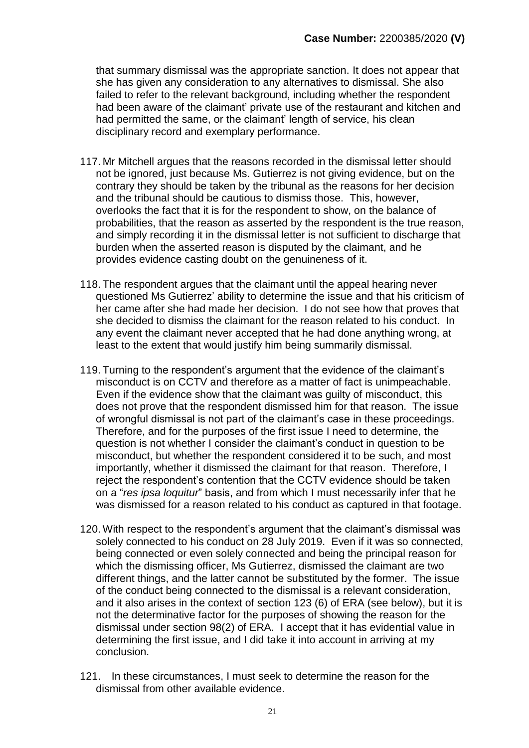that summary dismissal was the appropriate sanction. It does not appear that she has given any consideration to any alternatives to dismissal. She also failed to refer to the relevant background, including whether the respondent had been aware of the claimant' private use of the restaurant and kitchen and had permitted the same, or the claimant' length of service, his clean disciplinary record and exemplary performance.

- 117. Mr Mitchell argues that the reasons recorded in the dismissal letter should not be ignored, just because Ms. Gutierrez is not giving evidence, but on the contrary they should be taken by the tribunal as the reasons for her decision and the tribunal should be cautious to dismiss those. This, however, overlooks the fact that it is for the respondent to show, on the balance of probabilities, that the reason as asserted by the respondent is the true reason, and simply recording it in the dismissal letter is not sufficient to discharge that burden when the asserted reason is disputed by the claimant, and he provides evidence casting doubt on the genuineness of it.
- 118. The respondent argues that the claimant until the appeal hearing never questioned Ms Gutierrez' ability to determine the issue and that his criticism of her came after she had made her decision. I do not see how that proves that she decided to dismiss the claimant for the reason related to his conduct. In any event the claimant never accepted that he had done anything wrong, at least to the extent that would justify him being summarily dismissal.
- <span id="page-20-0"></span>119. Turning to the respondent's argument that the evidence of the claimant's misconduct is on CCTV and therefore as a matter of fact is unimpeachable. Even if the evidence show that the claimant was guilty of misconduct, this does not prove that the respondent dismissed him for that reason. The issue of wrongful dismissal is not part of the claimant's case in these proceedings. Therefore, and for the purposes of the first issue I need to determine, the question is not whether I consider the claimant's conduct in question to be misconduct, but whether the respondent considered it to be such, and most importantly, whether it dismissed the claimant for that reason. Therefore, I reject the respondent's contention that the CCTV evidence should be taken on a "*res ipsa loquitur*" basis, and from which I must necessarily infer that he was dismissed for a reason related to his conduct as captured in that footage.
- 120. With respect to the respondent's argument that the claimant's dismissal was solely connected to his conduct on 28 July 2019. Even if it was so connected, being connected or even solely connected and being the principal reason for which the dismissing officer, Ms Gutierrez, dismissed the claimant are two different things, and the latter cannot be substituted by the former. The issue of the conduct being connected to the dismissal is a relevant consideration, and it also arises in the context of section 123 (6) of ERA (see below), but it is not the determinative factor for the purposes of showing the reason for the dismissal under section 98(2) of ERA. I accept that it has evidential value in determining the first issue, and I did take it into account in arriving at my conclusion.
- 121. In these circumstances, I must seek to determine the reason for the dismissal from other available evidence.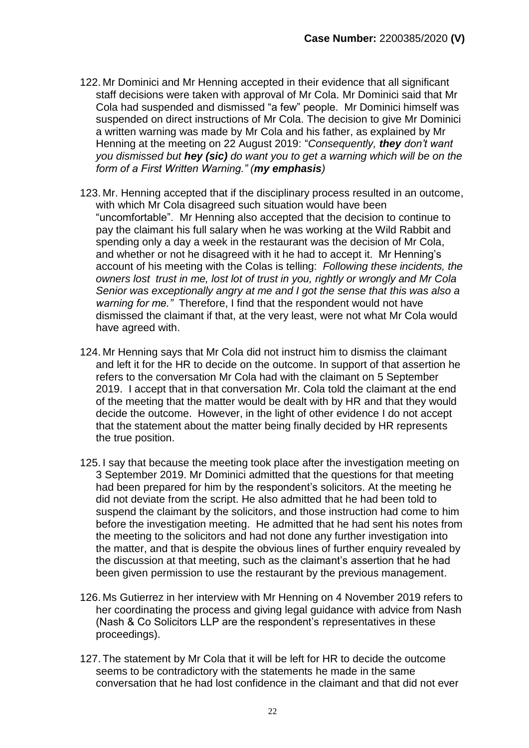- 122. Mr Dominici and Mr Henning accepted in their evidence that all significant staff decisions were taken with approval of Mr Cola. Mr Dominici said that Mr Cola had suspended and dismissed "a few" people. Mr Dominici himself was suspended on direct instructions of Mr Cola. The decision to give Mr Dominici a written warning was made by Mr Cola and his father, as explained by Mr Henning at the meeting on 22 August 2019: "*Consequently, they don't want you dismissed but hey (sic) do want you to get a warning which will be on the form of a First Written Warning." (my emphasis)*
- 123. Mr. Henning accepted that if the disciplinary process resulted in an outcome, with which Mr Cola disagreed such situation would have been "uncomfortable". Mr Henning also accepted that the decision to continue to pay the claimant his full salary when he was working at the Wild Rabbit and spending only a day a week in the restaurant was the decision of Mr Cola, and whether or not he disagreed with it he had to accept it. Mr Henning's account of his meeting with the Colas is telling: *Following these incidents, the owners lost trust in me, lost lot of trust in you, rightly or wrongly and Mr Cola Senior was exceptionally angry at me and I got the sense that this was also a warning for me."* Therefore, I find that the respondent would not have dismissed the claimant if that, at the very least, were not what Mr Cola would have agreed with.
- 124. Mr Henning says that Mr Cola did not instruct him to dismiss the claimant and left it for the HR to decide on the outcome. In support of that assertion he refers to the conversation Mr Cola had with the claimant on 5 September 2019. I accept that in that conversation Mr. Cola told the claimant at the end of the meeting that the matter would be dealt with by HR and that they would decide the outcome. However, in the light of other evidence I do not accept that the statement about the matter being finally decided by HR represents the true position.
- 125. I say that because the meeting took place after the investigation meeting on 3 September 2019. Mr Dominici admitted that the questions for that meeting had been prepared for him by the respondent's solicitors. At the meeting he did not deviate from the script. He also admitted that he had been told to suspend the claimant by the solicitors, and those instruction had come to him before the investigation meeting. He admitted that he had sent his notes from the meeting to the solicitors and had not done any further investigation into the matter, and that is despite the obvious lines of further enquiry revealed by the discussion at that meeting, such as the claimant's assertion that he had been given permission to use the restaurant by the previous management.
- 126. Ms Gutierrez in her interview with Mr Henning on 4 November 2019 refers to her coordinating the process and giving legal guidance with advice from Nash (Nash & Co Solicitors LLP are the respondent's representatives in these proceedings).
- 127. The statement by Mr Cola that it will be left for HR to decide the outcome seems to be contradictory with the statements he made in the same conversation that he had lost confidence in the claimant and that did not ever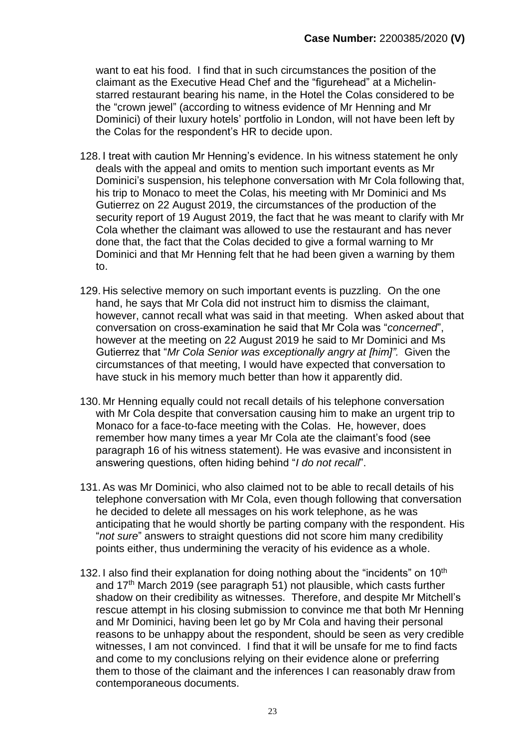want to eat his food. I find that in such circumstances the position of the claimant as the Executive Head Chef and the "figurehead" at a Michelinstarred restaurant bearing his name, in the Hotel the Colas considered to be the "crown jewel" (according to witness evidence of Mr Henning and Mr Dominici) of their luxury hotels' portfolio in London, will not have been left by the Colas for the respondent's HR to decide upon.

- 128. I treat with caution Mr Henning's evidence. In his witness statement he only deals with the appeal and omits to mention such important events as Mr Dominici's suspension, his telephone conversation with Mr Cola following that, his trip to Monaco to meet the Colas, his meeting with Mr Dominici and Ms Gutierrez on 22 August 2019, the circumstances of the production of the security report of 19 August 2019, the fact that he was meant to clarify with Mr Cola whether the claimant was allowed to use the restaurant and has never done that, the fact that the Colas decided to give a formal warning to Mr Dominici and that Mr Henning felt that he had been given a warning by them to.
- 129. His selective memory on such important events is puzzling. On the one hand, he says that Mr Cola did not instruct him to dismiss the claimant, however, cannot recall what was said in that meeting. When asked about that conversation on cross-examination he said that Mr Cola was "*concerned*", however at the meeting on 22 August 2019 he said to Mr Dominici and Ms Gutierrez that "*Mr Cola Senior was exceptionally angry at [him]".* Given the circumstances of that meeting, I would have expected that conversation to have stuck in his memory much better than how it apparently did.
- 130. Mr Henning equally could not recall details of his telephone conversation with Mr Cola despite that conversation causing him to make an urgent trip to Monaco for a face-to-face meeting with the Colas. He, however, does remember how many times a year Mr Cola ate the claimant's food (see paragraph 16 of his witness statement). He was evasive and inconsistent in answering questions, often hiding behind "*I do not recall*".
- 131. As was Mr Dominici, who also claimed not to be able to recall details of his telephone conversation with Mr Cola, even though following that conversation he decided to delete all messages on his work telephone, as he was anticipating that he would shortly be parting company with the respondent. His "*not sure*" answers to straight questions did not score him many credibility points either, thus undermining the veracity of his evidence as a whole.
- 132. I also find their explanation for doing nothing about the "incidents" on 10<sup>th</sup> and 17<sup>th</sup> March 2019 (see paragraph [51\)](#page-7-0) not plausible, which casts further shadow on their credibility as witnesses. Therefore, and despite Mr Mitchell's rescue attempt in his closing submission to convince me that both Mr Henning and Mr Dominici, having been let go by Mr Cola and having their personal reasons to be unhappy about the respondent, should be seen as very credible witnesses, I am not convinced. I find that it will be unsafe for me to find facts and come to my conclusions relying on their evidence alone or preferring them to those of the claimant and the inferences I can reasonably draw from contemporaneous documents.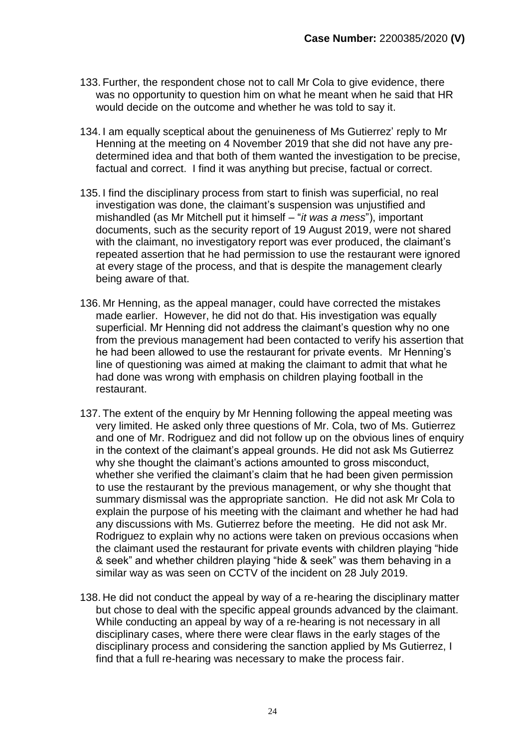- 133. Further, the respondent chose not to call Mr Cola to give evidence, there was no opportunity to question him on what he meant when he said that HR would decide on the outcome and whether he was told to say it.
- 134. I am equally sceptical about the genuineness of Ms Gutierrez' reply to Mr Henning at the meeting on 4 November 2019 that she did not have any predetermined idea and that both of them wanted the investigation to be precise, factual and correct. I find it was anything but precise, factual or correct.
- <span id="page-23-1"></span>135. I find the disciplinary process from start to finish was superficial, no real investigation was done, the claimant's suspension was unjustified and mishandled (as Mr Mitchell put it himself – "*it was a mess*"), important documents, such as the security report of 19 August 2019, were not shared with the claimant, no investigatory report was ever produced, the claimant's repeated assertion that he had permission to use the restaurant were ignored at every stage of the process, and that is despite the management clearly being aware of that.
- 136. Mr Henning, as the appeal manager, could have corrected the mistakes made earlier. However, he did not do that. His investigation was equally superficial. Mr Henning did not address the claimant's question why no one from the previous management had been contacted to verify his assertion that he had been allowed to use the restaurant for private events. Mr Henning's line of questioning was aimed at making the claimant to admit that what he had done was wrong with emphasis on children playing football in the restaurant.
- 137. The extent of the enquiry by Mr Henning following the appeal meeting was very limited. He asked only three questions of Mr. Cola, two of Ms. Gutierrez and one of Mr. Rodriguez and did not follow up on the obvious lines of enquiry in the context of the claimant's appeal grounds. He did not ask Ms Gutierrez why she thought the claimant's actions amounted to gross misconduct, whether she verified the claimant's claim that he had been given permission to use the restaurant by the previous management, or why she thought that summary dismissal was the appropriate sanction. He did not ask Mr Cola to explain the purpose of his meeting with the claimant and whether he had had any discussions with Ms. Gutierrez before the meeting. He did not ask Mr. Rodriguez to explain why no actions were taken on previous occasions when the claimant used the restaurant for private events with children playing "hide & seek" and whether children playing "hide & seek" was them behaving in a similar way as was seen on CCTV of the incident on 28 July 2019.
- <span id="page-23-0"></span>138. He did not conduct the appeal by way of a re-hearing the disciplinary matter but chose to deal with the specific appeal grounds advanced by the claimant. While conducting an appeal by way of a re-hearing is not necessary in all disciplinary cases, where there were clear flaws in the early stages of the disciplinary process and considering the sanction applied by Ms Gutierrez, I find that a full re-hearing was necessary to make the process fair.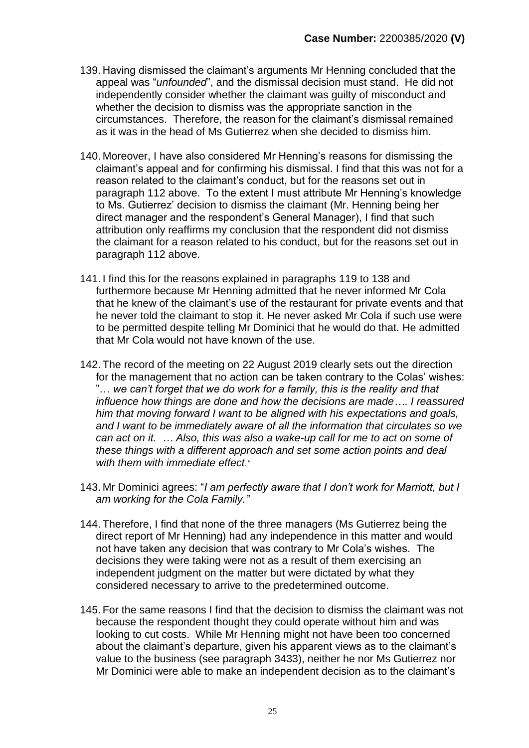- 139. Having dismissed the claimant's arguments Mr Henning concluded that the appeal was "*unfounded*", and the dismissal decision must stand. He did not independently consider whether the claimant was guilty of misconduct and whether the decision to dismiss was the appropriate sanction in the circumstances. Therefore, the reason for the claimant's dismissal remained as it was in the head of Ms Gutierrez when she decided to dismiss him.
- 140. Moreover, I have also considered Mr Henning's reasons for dismissing the claimant's appeal and for confirming his dismissal. I find that this was not for a reason related to the claimant's conduct, but for the reasons set out in paragraph [112](#page-18-0) above. To the extent I must attribute Mr Henning's knowledge to Ms. Gutierrez' decision to dismiss the claimant (Mr. Henning being her direct manager and the respondent's General Manager), I find that such attribution only reaffirms my conclusion that the respondent did not dismiss the claimant for a reason related to his conduct, but for the reasons set out in paragraph [112](#page-18-0) above.
- 141. I find this for the reasons explained in paragraphs [119](#page-20-0) to [138](#page-23-0) and furthermore because Mr Henning admitted that he never informed Mr Cola that he knew of the claimant's use of the restaurant for private events and that he never told the claimant to stop it. He never asked Mr Cola if such use were to be permitted despite telling Mr Dominici that he would do that. He admitted that Mr Cola would not have known of the use.
- 142. The record of the meeting on 22 August 2019 clearly sets out the direction for the management that no action can be taken contrary to the Colas' wishes: "… *we can't forget that we do work for a family, this is the reality and that influence how things are done and how the decisions are made…. I reassured him that moving forward I want to be aligned with his expectations and goals, and I want to be immediately aware of all the information that circulates so we can act on it. … Also, this was also a wake-up call for me to act on some of these things with a different approach and set some action points and deal with them with immediate effect."*
- 143. Mr Dominici agrees: "*I am perfectly aware that I don't work for Marriott, but I am working for the Cola Family."*
- 144. Therefore, I find that none of the three managers (Ms Gutierrez being the direct report of Mr Henning) had any independence in this matter and would not have taken any decision that was contrary to Mr Cola's wishes. The decisions they were taking were not as a result of them exercising an independent judgment on the matter but were dictated by what they considered necessary to arrive to the predetermined outcome.
- 145. For the same reasons I find that the decision to dismiss the claimant was not because the respondent thought they could operate without him and was looking to cut costs. While Mr Henning might not have been too concerned about the claimant's departure, given his apparent views as to the claimant's value to the business (see paragraph [34](#page-5-0)[33\)](#page-5-1), neither he nor Ms Gutierrez nor Mr Dominici were able to make an independent decision as to the claimant's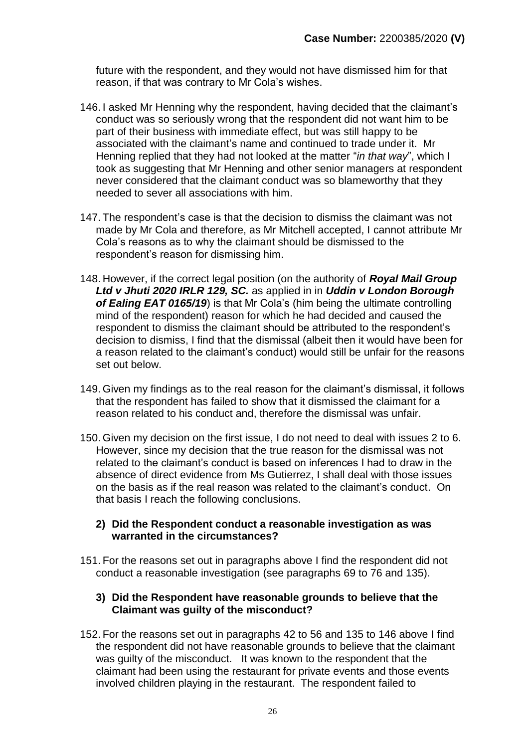future with the respondent, and they would not have dismissed him for that reason, if that was contrary to Mr Cola's wishes.

- <span id="page-25-0"></span>146. I asked Mr Henning why the respondent, having decided that the claimant's conduct was so seriously wrong that the respondent did not want him to be part of their business with immediate effect, but was still happy to be associated with the claimant's name and continued to trade under it. Mr Henning replied that they had not looked at the matter "*in that way*", which I took as suggesting that Mr Henning and other senior managers at respondent never considered that the claimant conduct was so blameworthy that they needed to sever all associations with him.
- 147. The respondent's case is that the decision to dismiss the claimant was not made by Mr Cola and therefore, as Mr Mitchell accepted, I cannot attribute Mr Cola's reasons as to why the claimant should be dismissed to the respondent's reason for dismissing him.
- 148. However, if the correct legal position (on the authority of *Royal Mail Group Ltd v Jhuti 2020 IRLR 129, SC.* as applied in in *[Uddin v London Borough](https://uk.westlaw.com/Link/Document/FullText?findType=Y&serNum=2050349173&pubNum=8105&originatingDoc=IF7ECDC6055E011E79153C39CF1D5DBAB&refType=UC&originationContext=document&transitionType=CommentaryUKLink&contextData=%28sc.Category%29&comp=books)  [of Ealing EAT 0165/19](https://uk.westlaw.com/Link/Document/FullText?findType=Y&serNum=2050349173&pubNum=8105&originatingDoc=IF7ECDC6055E011E79153C39CF1D5DBAB&refType=UC&originationContext=document&transitionType=CommentaryUKLink&contextData=%28sc.Category%29&comp=books)*) is that Mr Cola's (him being the ultimate controlling mind of the respondent) reason for which he had decided and caused the respondent to dismiss the claimant should be attributed to the respondent's decision to dismiss, I find that the dismissal (albeit then it would have been for a reason related to the claimant's conduct) would still be unfair for the reasons set out below.
- 149. Given my findings as to the real reason for the claimant's dismissal, it follows that the respondent has failed to show that it dismissed the claimant for a reason related to his conduct and, therefore the dismissal was unfair.
- 150. Given my decision on the first issue, I do not need to deal with issues 2 to 6. However, since my decision that the true reason for the dismissal was not related to the claimant's conduct is based on inferences I had to draw in the absence of direct evidence from Ms Gutierrez, I shall deal with those issues on the basis as if the real reason was related to the claimant's conduct. On that basis I reach the following conclusions.

#### **2) Did the Respondent conduct a reasonable investigation as was warranted in the circumstances?**

151. For the reasons set out in paragraphs above I find the respondent did not conduct a reasonable investigation (see paragraphs [69](#page-11-0) to [76](#page-12-0) and [135\)](#page-23-1).

#### **3) Did the Respondent have reasonable grounds to believe that the Claimant was guilty of the misconduct?**

152. For the reasons set out in paragraphs [42](#page-6-0) to [56](#page-7-1) and [135](#page-23-1) to [146](#page-25-0) above I find the respondent did not have reasonable grounds to believe that the claimant was guilty of the misconduct. It was known to the respondent that the claimant had been using the restaurant for private events and those events involved children playing in the restaurant. The respondent failed to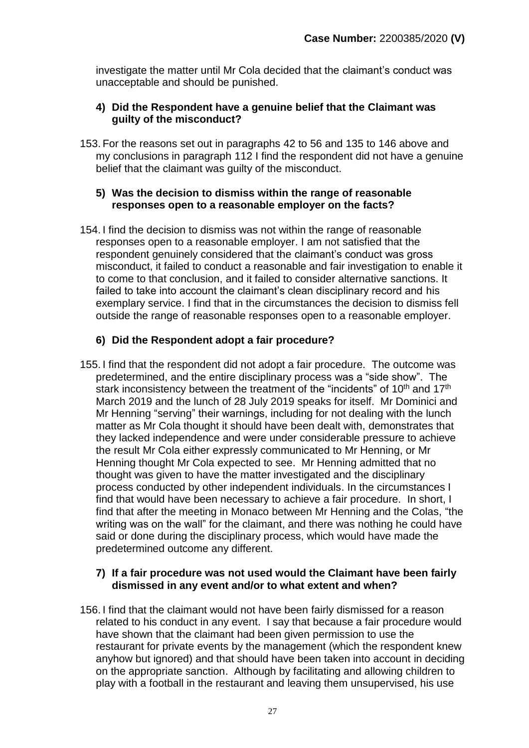investigate the matter until Mr Cola decided that the claimant's conduct was unacceptable and should be punished.

#### **4) Did the Respondent have a genuine belief that the Claimant was guilty of the misconduct?**

153. For the reasons set out in paragraphs [42](#page-6-0) to [56](#page-7-1) and [135](#page-23-1) to [146](#page-25-0) above and my conclusions in paragraph [112](#page-18-0) I find the respondent did not have a genuine belief that the claimant was guilty of the misconduct.

#### **5) Was the decision to dismiss within the range of reasonable responses open to a reasonable employer on the facts?**

154. I find the decision to dismiss was not within the range of reasonable responses open to a reasonable employer. I am not satisfied that the respondent genuinely considered that the claimant's conduct was gross misconduct, it failed to conduct a reasonable and fair investigation to enable it to come to that conclusion, and it failed to consider alternative sanctions. It failed to take into account the claimant's clean disciplinary record and his exemplary service. I find that in the circumstances the decision to dismiss fell outside the range of reasonable responses open to a reasonable employer.

#### **6) Did the Respondent adopt a fair procedure?**

155. I find that the respondent did not adopt a fair procedure. The outcome was predetermined, and the entire disciplinary process was a "side show". The stark inconsistency between the treatment of the "incidents" of 10<sup>th</sup> and 17<sup>th</sup> March 2019 and the lunch of 28 July 2019 speaks for itself. Mr Dominici and Mr Henning "serving" their warnings, including for not dealing with the lunch matter as Mr Cola thought it should have been dealt with, demonstrates that they lacked independence and were under considerable pressure to achieve the result Mr Cola either expressly communicated to Mr Henning, or Mr Henning thought Mr Cola expected to see. Mr Henning admitted that no thought was given to have the matter investigated and the disciplinary process conducted by other independent individuals. In the circumstances I find that would have been necessary to achieve a fair procedure. In short, I find that after the meeting in Monaco between Mr Henning and the Colas, "the writing was on the wall" for the claimant, and there was nothing he could have said or done during the disciplinary process, which would have made the predetermined outcome any different.

#### **7) If a fair procedure was not used would the Claimant have been fairly dismissed in any event and/or to what extent and when?**

156. I find that the claimant would not have been fairly dismissed for a reason related to his conduct in any event. I say that because a fair procedure would have shown that the claimant had been given permission to use the restaurant for private events by the management (which the respondent knew anyhow but ignored) and that should have been taken into account in deciding on the appropriate sanction. Although by facilitating and allowing children to play with a football in the restaurant and leaving them unsupervised, his use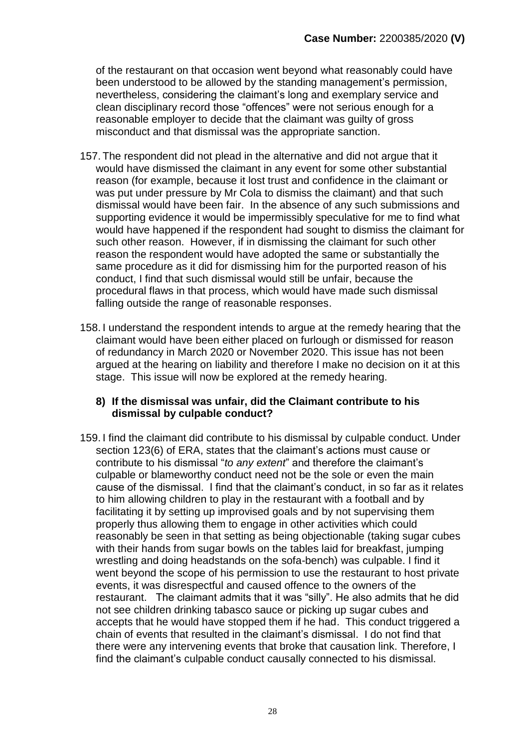of the restaurant on that occasion went beyond what reasonably could have been understood to be allowed by the standing management's permission, nevertheless, considering the claimant's long and exemplary service and clean disciplinary record those "offences" were not serious enough for a reasonable employer to decide that the claimant was guilty of gross misconduct and that dismissal was the appropriate sanction.

- 157. The respondent did not plead in the alternative and did not argue that it would have dismissed the claimant in any event for some other substantial reason (for example, because it lost trust and confidence in the claimant or was put under pressure by Mr Cola to dismiss the claimant) and that such dismissal would have been fair. In the absence of any such submissions and supporting evidence it would be impermissibly speculative for me to find what would have happened if the respondent had sought to dismiss the claimant for such other reason. However, if in dismissing the claimant for such other reason the respondent would have adopted the same or substantially the same procedure as it did for dismissing him for the purported reason of his conduct, I find that such dismissal would still be unfair, because the procedural flaws in that process, which would have made such dismissal falling outside the range of reasonable responses.
- 158. I understand the respondent intends to argue at the remedy hearing that the claimant would have been either placed on furlough or dismissed for reason of redundancy in March 2020 or November 2020. This issue has not been argued at the hearing on liability and therefore I make no decision on it at this stage. This issue will now be explored at the remedy hearing.

#### **8) If the dismissal was unfair, did the Claimant contribute to his dismissal by culpable conduct?**

159. I find the claimant did contribute to his dismissal by culpable conduct. Under section 123(6) of ERA, states that the claimant's actions must cause or contribute to his dismissal "*to any extent*" and therefore the claimant's culpable or blameworthy conduct need not be the sole or even the main cause of the dismissal. I find that the claimant's conduct, in so far as it relates to him allowing children to play in the restaurant with a football and by facilitating it by setting up improvised goals and by not supervising them properly thus allowing them to engage in other activities which could reasonably be seen in that setting as being objectionable (taking sugar cubes with their hands from sugar bowls on the tables laid for breakfast, jumping wrestling and doing headstands on the sofa-bench) was culpable. I find it went beyond the scope of his permission to use the restaurant to host private events, it was disrespectful and caused offence to the owners of the restaurant. The claimant admits that it was "silly". He also admits that he did not see children drinking tabasco sauce or picking up sugar cubes and accepts that he would have stopped them if he had. This conduct triggered a chain of events that resulted in the claimant's dismissal. I do not find that there were any intervening events that broke that causation link. Therefore, I find the claimant's culpable conduct causally connected to his dismissal.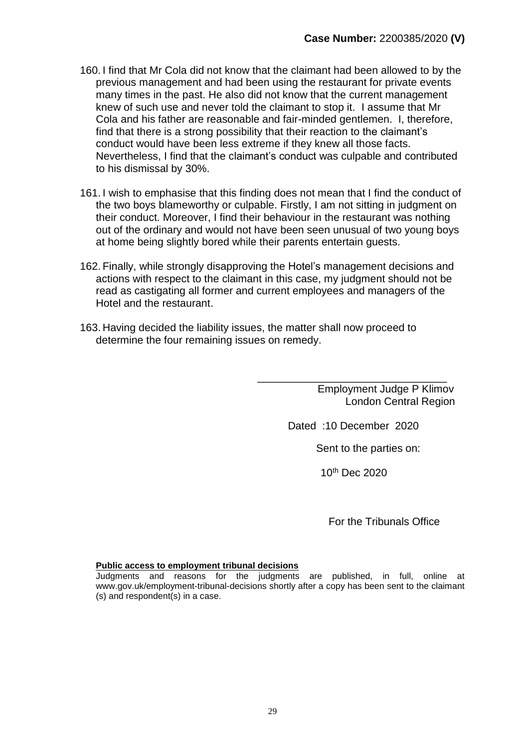- 160. I find that Mr Cola did not know that the claimant had been allowed to by the previous management and had been using the restaurant for private events many times in the past. He also did not know that the current management knew of such use and never told the claimant to stop it. I assume that Mr Cola and his father are reasonable and fair-minded gentlemen. I, therefore, find that there is a strong possibility that their reaction to the claimant's conduct would have been less extreme if they knew all those facts. Nevertheless, I find that the claimant's conduct was culpable and contributed to his dismissal by 30%.
- 161. I wish to emphasise that this finding does not mean that I find the conduct of the two boys blameworthy or culpable. Firstly, I am not sitting in judgment on their conduct. Moreover, I find their behaviour in the restaurant was nothing out of the ordinary and would not have been seen unusual of two young boys at home being slightly bored while their parents entertain guests.
- 162. Finally, while strongly disapproving the Hotel's management decisions and actions with respect to the claimant in this case, my judgment should not be read as castigating all former and current employees and managers of the Hotel and the restaurant.
- 163. Having decided the liability issues, the matter shall now proceed to determine the four remaining issues on remedy.

\_\_\_\_\_\_\_\_\_\_\_\_\_\_\_\_\_\_\_\_\_\_\_\_\_\_\_\_\_\_\_\_ Employment Judge P Klimov London Central Region

Dated :10 December 2020

Sent to the parties on:

10<sup>th</sup> Dec 2020

For the Tribunals Office

#### **Public access to employment tribunal decisions**

Judgments and reasons for the judgments are published, in full, online at www.gov.uk/employment-tribunal-decisions shortly after a copy has been sent to the claimant (s) and respondent(s) in a case.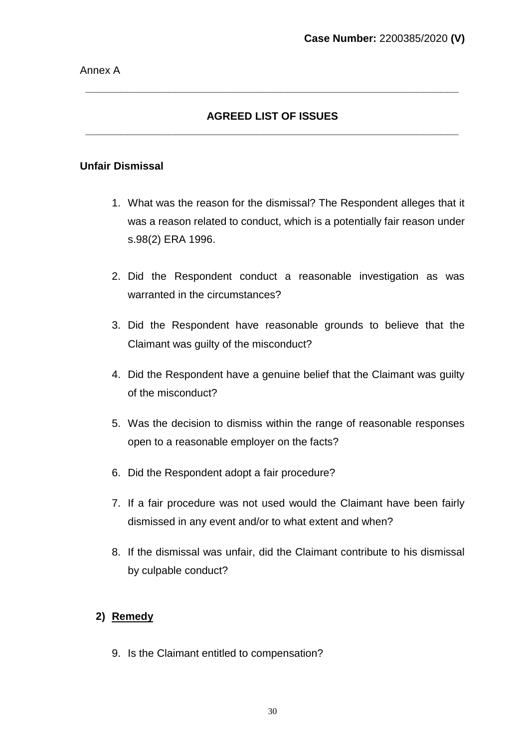### **AGREED LIST OF ISSUES \_\_\_\_\_\_\_\_\_\_\_\_\_\_\_\_\_\_\_\_\_\_\_\_\_\_\_\_\_\_\_\_\_\_\_\_\_\_\_\_\_\_\_\_\_\_\_\_\_\_\_\_\_\_\_\_\_\_\_\_\_\_\_**

**\_\_\_\_\_\_\_\_\_\_\_\_\_\_\_\_\_\_\_\_\_\_\_\_\_\_\_\_\_\_\_\_\_\_\_\_\_\_\_\_\_\_\_\_\_\_\_\_\_\_\_\_\_\_\_\_\_\_\_\_\_\_\_**

#### **Unfair Dismissal**

- 1. What was the reason for the dismissal? The Respondent alleges that it was a reason related to conduct, which is a potentially fair reason under s.98(2) ERA 1996.
- 2. Did the Respondent conduct a reasonable investigation as was warranted in the circumstances?
- 3. Did the Respondent have reasonable grounds to believe that the Claimant was guilty of the misconduct?
- 4. Did the Respondent have a genuine belief that the Claimant was guilty of the misconduct?
- 5. Was the decision to dismiss within the range of reasonable responses open to a reasonable employer on the facts?
- 6. Did the Respondent adopt a fair procedure?
- 7. If a fair procedure was not used would the Claimant have been fairly dismissed in any event and/or to what extent and when?
- 8. If the dismissal was unfair, did the Claimant contribute to his dismissal by culpable conduct?

#### **2) Remedy**

9. Is the Claimant entitled to compensation?